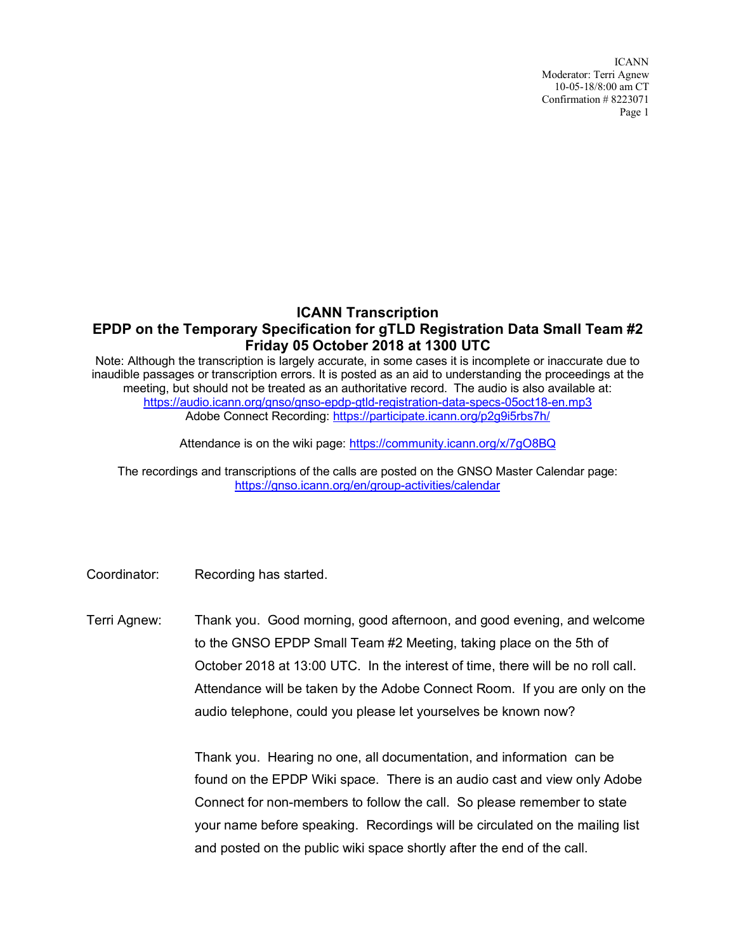ICANN Moderator: Terri Agnew 10-05-18/8:00 am CT Confirmation # 8223071 Page 1

## **ICANN Transcription EPDP on the Temporary Specification for gTLD Registration Data Small Team #2 Friday 05 October 2018 at 1300 UTC**

Note: Although the transcription is largely accurate, in some cases it is incomplete or inaccurate due to inaudible passages or transcription errors. It is posted as an aid to understanding the proceedings at the meeting, but should not be treated as an authoritative record. The audio is also available at: https://audio.icann.org/gnso/gnso-epdp-gtld-registration-data-specs-05oct18-en.mp3 Adobe Connect Recording: https://participate.icann.org/p2g9i5rbs7h/

Attendance is on the wiki page: https://community.icann.org/x/7gO8BQ

The recordings and transcriptions of the calls are posted on the GNSO Master Calendar page: https://gnso.icann.org/en/group-activities/calendar

Coordinator: Recording has started.

Terri Agnew: Thank you. Good morning, good afternoon, and good evening, and welcome to the GNSO EPDP Small Team #2 Meeting, taking place on the 5th of October 2018 at 13:00 UTC. In the interest of time, there will be no roll call. Attendance will be taken by the Adobe Connect Room. If you are only on the audio telephone, could you please let yourselves be known now?

> Thank you. Hearing no one, all documentation, and information can be found on the EPDP Wiki space. There is an audio cast and view only Adobe Connect for non-members to follow the call. So please remember to state your name before speaking. Recordings will be circulated on the mailing list and posted on the public wiki space shortly after the end of the call.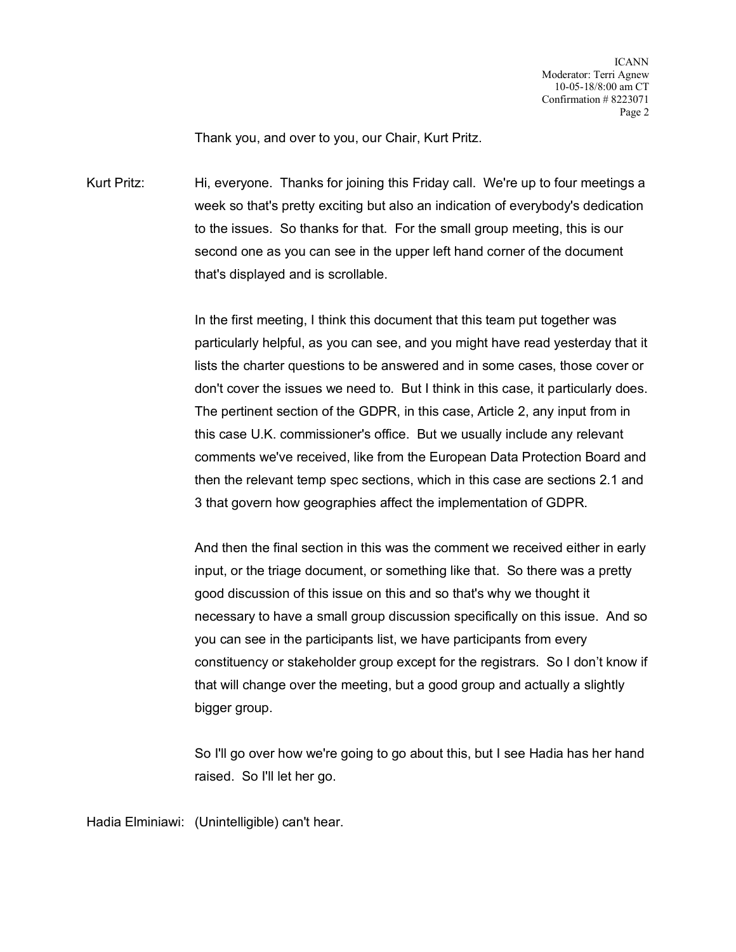Thank you, and over to you, our Chair, Kurt Pritz.

Kurt Pritz: Hi, everyone. Thanks for joining this Friday call. We're up to four meetings a week so that's pretty exciting but also an indication of everybody's dedication to the issues. So thanks for that. For the small group meeting, this is our second one as you can see in the upper left hand corner of the document that's displayed and is scrollable.

> In the first meeting, I think this document that this team put together was particularly helpful, as you can see, and you might have read yesterday that it lists the charter questions to be answered and in some cases, those cover or don't cover the issues we need to. But I think in this case, it particularly does. The pertinent section of the GDPR, in this case, Article 2, any input from in this case U.K. commissioner's office. But we usually include any relevant comments we've received, like from the European Data Protection Board and then the relevant temp spec sections, which in this case are sections 2.1 and 3 that govern how geographies affect the implementation of GDPR.

> And then the final section in this was the comment we received either in early input, or the triage document, or something like that. So there was a pretty good discussion of this issue on this and so that's why we thought it necessary to have a small group discussion specifically on this issue. And so you can see in the participants list, we have participants from every constituency or stakeholder group except for the registrars. So I don't know if that will change over the meeting, but a good group and actually a slightly bigger group.

> So I'll go over how we're going to go about this, but I see Hadia has her hand raised. So I'll let her go.

Hadia Elminiawi: (Unintelligible) can't hear.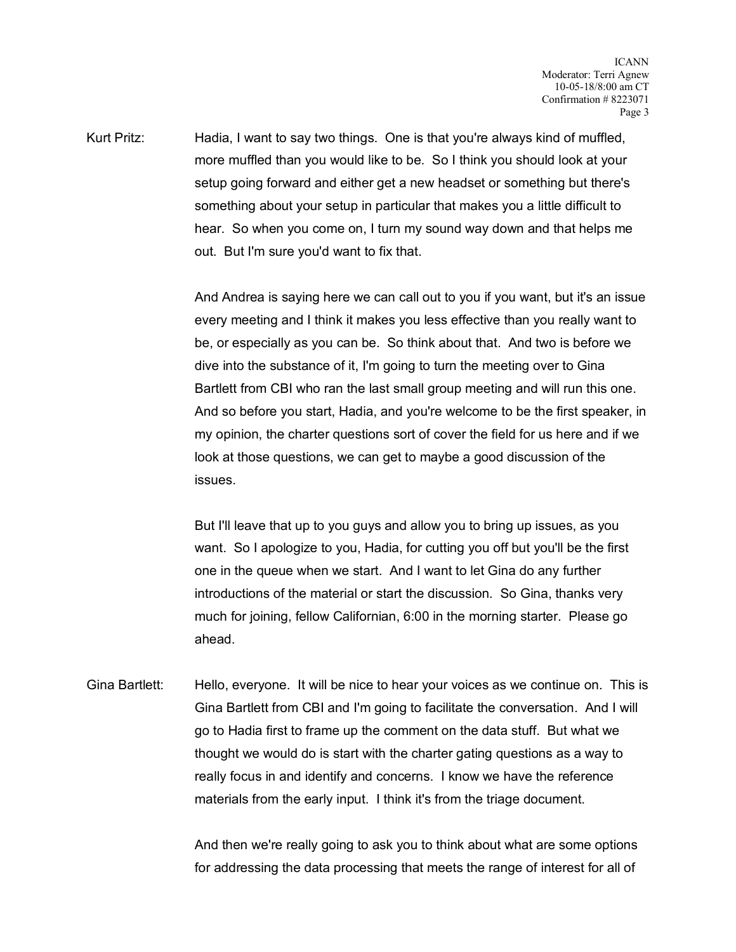Kurt Pritz: Hadia, I want to say two things. One is that you're always kind of muffled, more muffled than you would like to be. So I think you should look at your setup going forward and either get a new headset or something but there's something about your setup in particular that makes you a little difficult to hear. So when you come on, I turn my sound way down and that helps me out. But I'm sure you'd want to fix that.

> And Andrea is saying here we can call out to you if you want, but it's an issue every meeting and I think it makes you less effective than you really want to be, or especially as you can be. So think about that. And two is before we dive into the substance of it, I'm going to turn the meeting over to Gina Bartlett from CBI who ran the last small group meeting and will run this one. And so before you start, Hadia, and you're welcome to be the first speaker, in my opinion, the charter questions sort of cover the field for us here and if we look at those questions, we can get to maybe a good discussion of the issues.

But I'll leave that up to you guys and allow you to bring up issues, as you want. So I apologize to you, Hadia, for cutting you off but you'll be the first one in the queue when we start. And I want to let Gina do any further introductions of the material or start the discussion. So Gina, thanks very much for joining, fellow Californian, 6:00 in the morning starter. Please go ahead.

Gina Bartlett: Hello, everyone. It will be nice to hear your voices as we continue on. This is Gina Bartlett from CBI and I'm going to facilitate the conversation. And I will go to Hadia first to frame up the comment on the data stuff. But what we thought we would do is start with the charter gating questions as a way to really focus in and identify and concerns. I know we have the reference materials from the early input. I think it's from the triage document.

> And then we're really going to ask you to think about what are some options for addressing the data processing that meets the range of interest for all of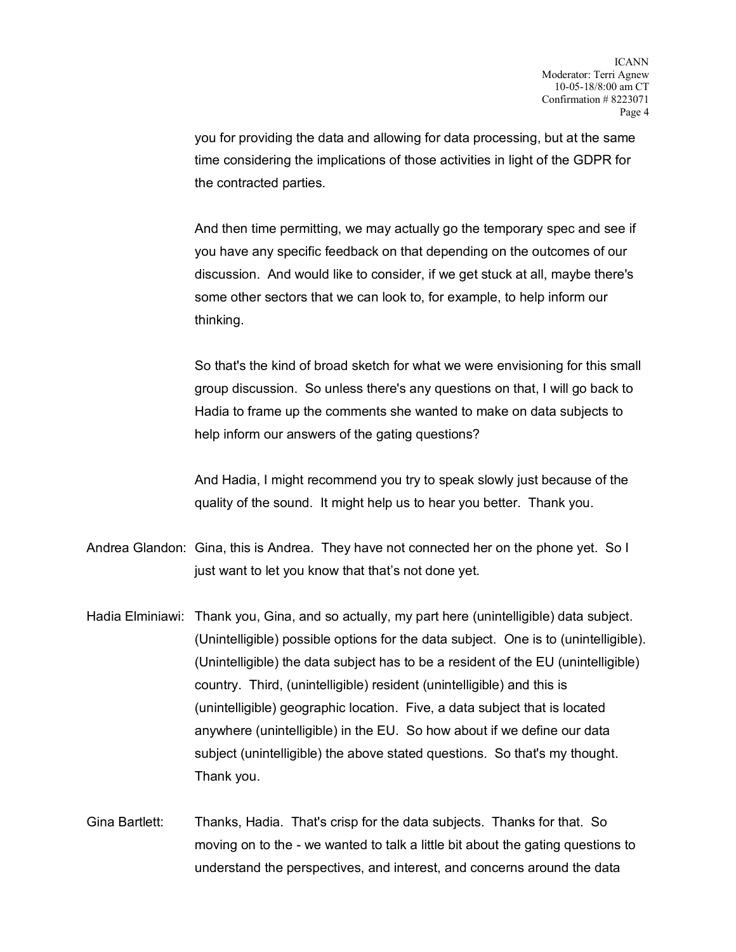you for providing the data and allowing for data processing, but at the same time considering the implications of those activities in light of the GDPR for the contracted parties.

And then time permitting, we may actually go the temporary spec and see if you have any specific feedback on that depending on the outcomes of our discussion. And would like to consider, if we get stuck at all, maybe there's some other sectors that we can look to, for example, to help inform our thinking.

So that's the kind of broad sketch for what we were envisioning for this small group discussion. So unless there's any questions on that, I will go back to Hadia to frame up the comments she wanted to make on data subjects to help inform our answers of the gating questions?

And Hadia, I might recommend you try to speak slowly just because of the quality of the sound. It might help us to hear you better. Thank you.

- Andrea Glandon: Gina, this is Andrea. They have not connected her on the phone yet. So I just want to let you know that that's not done yet.
- Hadia Elminiawi: Thank you, Gina, and so actually, my part here (unintelligible) data subject. (Unintelligible) possible options for the data subject. One is to (unintelligible). (Unintelligible) the data subject has to be a resident of the EU (unintelligible) country. Third, (unintelligible) resident (unintelligible) and this is (unintelligible) geographic location. Five, a data subject that is located anywhere (unintelligible) in the EU. So how about if we define our data subject (unintelligible) the above stated questions. So that's my thought. Thank you.

Gina Bartlett: Thanks, Hadia. That's crisp for the data subjects. Thanks for that. So moving on to the - we wanted to talk a little bit about the gating questions to understand the perspectives, and interest, and concerns around the data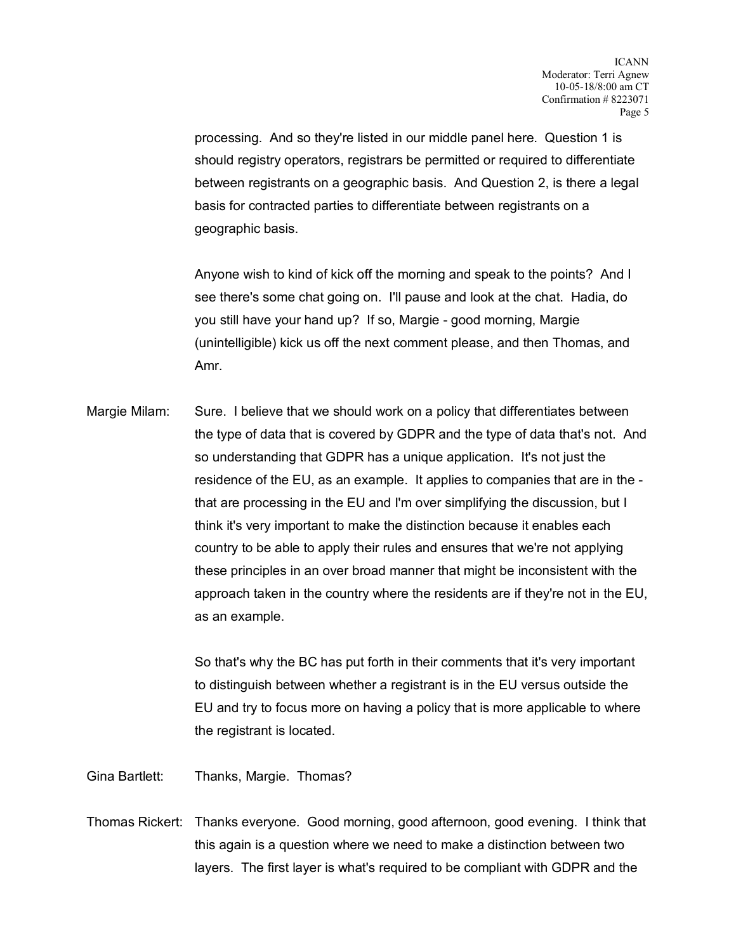processing. And so they're listed in our middle panel here. Question 1 is should registry operators, registrars be permitted or required to differentiate between registrants on a geographic basis. And Question 2, is there a legal basis for contracted parties to differentiate between registrants on a geographic basis.

Anyone wish to kind of kick off the morning and speak to the points? And I see there's some chat going on. I'll pause and look at the chat. Hadia, do you still have your hand up? If so, Margie - good morning, Margie (unintelligible) kick us off the next comment please, and then Thomas, and Amr.

Margie Milam: Sure. I believe that we should work on a policy that differentiates between the type of data that is covered by GDPR and the type of data that's not. And so understanding that GDPR has a unique application. It's not just the residence of the EU, as an example. It applies to companies that are in the that are processing in the EU and I'm over simplifying the discussion, but I think it's very important to make the distinction because it enables each country to be able to apply their rules and ensures that we're not applying these principles in an over broad manner that might be inconsistent with the approach taken in the country where the residents are if they're not in the EU, as an example.

> So that's why the BC has put forth in their comments that it's very important to distinguish between whether a registrant is in the EU versus outside the EU and try to focus more on having a policy that is more applicable to where the registrant is located.

Gina Bartlett: Thanks, Margie. Thomas?

Thomas Rickert: Thanks everyone. Good morning, good afternoon, good evening. I think that this again is a question where we need to make a distinction between two layers. The first layer is what's required to be compliant with GDPR and the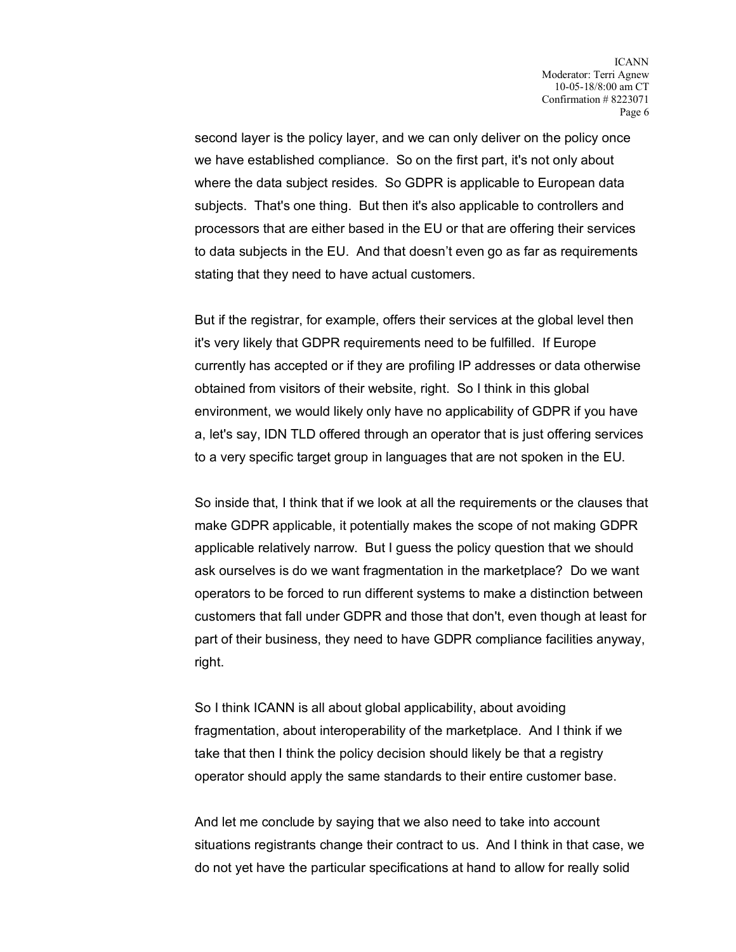second layer is the policy layer, and we can only deliver on the policy once we have established compliance. So on the first part, it's not only about where the data subject resides. So GDPR is applicable to European data subjects. That's one thing. But then it's also applicable to controllers and processors that are either based in the EU or that are offering their services to data subjects in the EU. And that doesn't even go as far as requirements stating that they need to have actual customers.

But if the registrar, for example, offers their services at the global level then it's very likely that GDPR requirements need to be fulfilled. If Europe currently has accepted or if they are profiling IP addresses or data otherwise obtained from visitors of their website, right. So I think in this global environment, we would likely only have no applicability of GDPR if you have a, let's say, IDN TLD offered through an operator that is just offering services to a very specific target group in languages that are not spoken in the EU.

So inside that, I think that if we look at all the requirements or the clauses that make GDPR applicable, it potentially makes the scope of not making GDPR applicable relatively narrow. But I guess the policy question that we should ask ourselves is do we want fragmentation in the marketplace? Do we want operators to be forced to run different systems to make a distinction between customers that fall under GDPR and those that don't, even though at least for part of their business, they need to have GDPR compliance facilities anyway, right.

So I think ICANN is all about global applicability, about avoiding fragmentation, about interoperability of the marketplace. And I think if we take that then I think the policy decision should likely be that a registry operator should apply the same standards to their entire customer base.

And let me conclude by saying that we also need to take into account situations registrants change their contract to us. And I think in that case, we do not yet have the particular specifications at hand to allow for really solid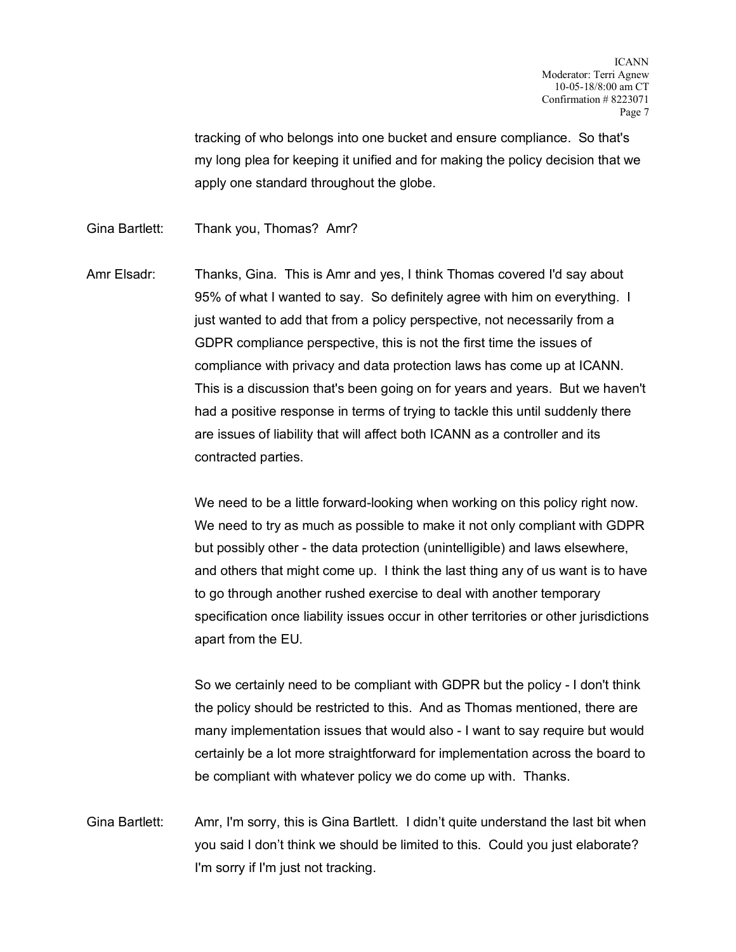tracking of who belongs into one bucket and ensure compliance. So that's my long plea for keeping it unified and for making the policy decision that we apply one standard throughout the globe.

Gina Bartlett: Thank you, Thomas? Amr?

Amr Elsadr: Thanks, Gina. This is Amr and yes, I think Thomas covered I'd say about 95% of what I wanted to say. So definitely agree with him on everything. I just wanted to add that from a policy perspective, not necessarily from a GDPR compliance perspective, this is not the first time the issues of compliance with privacy and data protection laws has come up at ICANN. This is a discussion that's been going on for years and years. But we haven't had a positive response in terms of trying to tackle this until suddenly there are issues of liability that will affect both ICANN as a controller and its contracted parties.

> We need to be a little forward-looking when working on this policy right now. We need to try as much as possible to make it not only compliant with GDPR but possibly other - the data protection (unintelligible) and laws elsewhere, and others that might come up. I think the last thing any of us want is to have to go through another rushed exercise to deal with another temporary specification once liability issues occur in other territories or other jurisdictions apart from the EU.

> So we certainly need to be compliant with GDPR but the policy - I don't think the policy should be restricted to this. And as Thomas mentioned, there are many implementation issues that would also - I want to say require but would certainly be a lot more straightforward for implementation across the board to be compliant with whatever policy we do come up with. Thanks.

Gina Bartlett: Amr, I'm sorry, this is Gina Bartlett. I didn't quite understand the last bit when you said I don't think we should be limited to this. Could you just elaborate? I'm sorry if I'm just not tracking.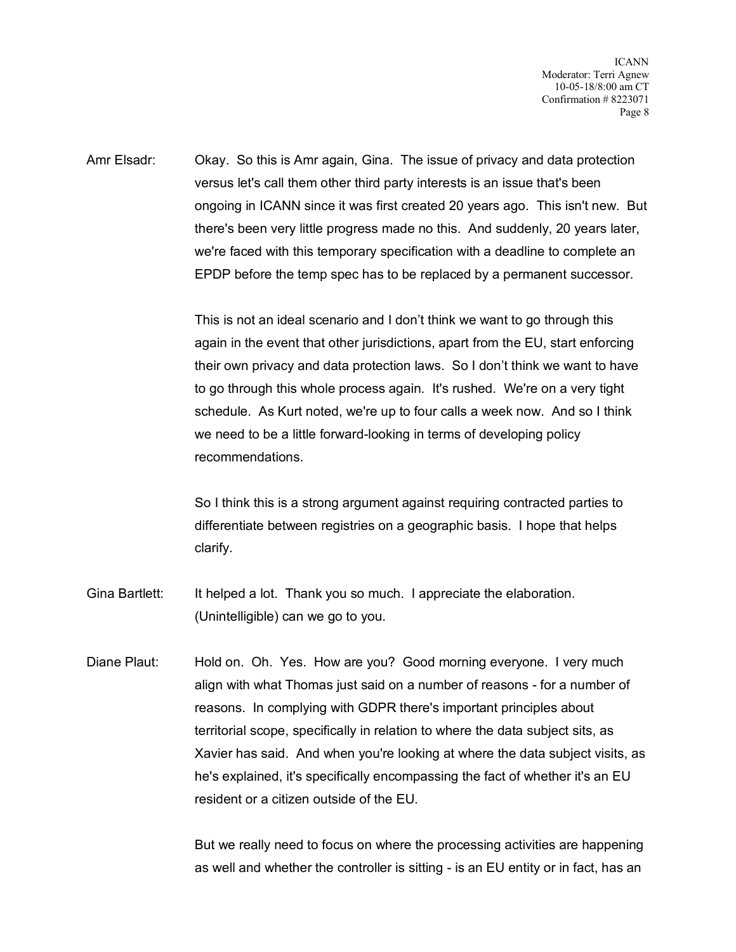ICANN Moderator: Terri Agnew 10-05-18/8:00 am CT Confirmation # 8223071 Page 8

Amr Elsadr: Okay. So this is Amr again, Gina. The issue of privacy and data protection versus let's call them other third party interests is an issue that's been ongoing in ICANN since it was first created 20 years ago. This isn't new. But there's been very little progress made no this. And suddenly, 20 years later, we're faced with this temporary specification with a deadline to complete an EPDP before the temp spec has to be replaced by a permanent successor.

> This is not an ideal scenario and I don't think we want to go through this again in the event that other jurisdictions, apart from the EU, start enforcing their own privacy and data protection laws. So I don't think we want to have to go through this whole process again. It's rushed. We're on a very tight schedule. As Kurt noted, we're up to four calls a week now. And so I think we need to be a little forward-looking in terms of developing policy recommendations.

So I think this is a strong argument against requiring contracted parties to differentiate between registries on a geographic basis. I hope that helps clarify.

Gina Bartlett: It helped a lot. Thank you so much. I appreciate the elaboration. (Unintelligible) can we go to you.

Diane Plaut: Hold on. Oh. Yes. How are you? Good morning everyone. I very much align with what Thomas just said on a number of reasons - for a number of reasons. In complying with GDPR there's important principles about territorial scope, specifically in relation to where the data subject sits, as Xavier has said. And when you're looking at where the data subject visits, as he's explained, it's specifically encompassing the fact of whether it's an EU resident or a citizen outside of the EU.

> But we really need to focus on where the processing activities are happening as well and whether the controller is sitting - is an EU entity or in fact, has an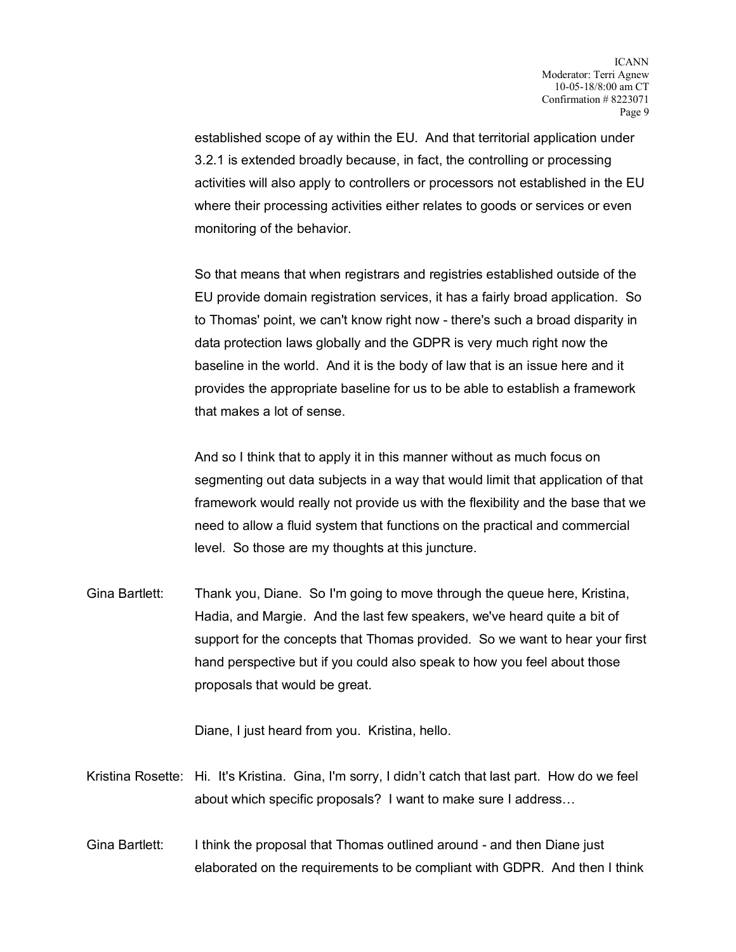established scope of ay within the EU. And that territorial application under 3.2.1 is extended broadly because, in fact, the controlling or processing activities will also apply to controllers or processors not established in the EU where their processing activities either relates to goods or services or even monitoring of the behavior.

So that means that when registrars and registries established outside of the EU provide domain registration services, it has a fairly broad application. So to Thomas' point, we can't know right now - there's such a broad disparity in data protection laws globally and the GDPR is very much right now the baseline in the world. And it is the body of law that is an issue here and it provides the appropriate baseline for us to be able to establish a framework that makes a lot of sense.

And so I think that to apply it in this manner without as much focus on segmenting out data subjects in a way that would limit that application of that framework would really not provide us with the flexibility and the base that we need to allow a fluid system that functions on the practical and commercial level. So those are my thoughts at this juncture.

Gina Bartlett: Thank you, Diane. So I'm going to move through the queue here, Kristina, Hadia, and Margie. And the last few speakers, we've heard quite a bit of support for the concepts that Thomas provided. So we want to hear your first hand perspective but if you could also speak to how you feel about those proposals that would be great.

Diane, I just heard from you. Kristina, hello.

- Kristina Rosette: Hi. It's Kristina. Gina, I'm sorry, I didn't catch that last part. How do we feel about which specific proposals? I want to make sure I address…
- Gina Bartlett: I think the proposal that Thomas outlined around and then Diane just elaborated on the requirements to be compliant with GDPR. And then I think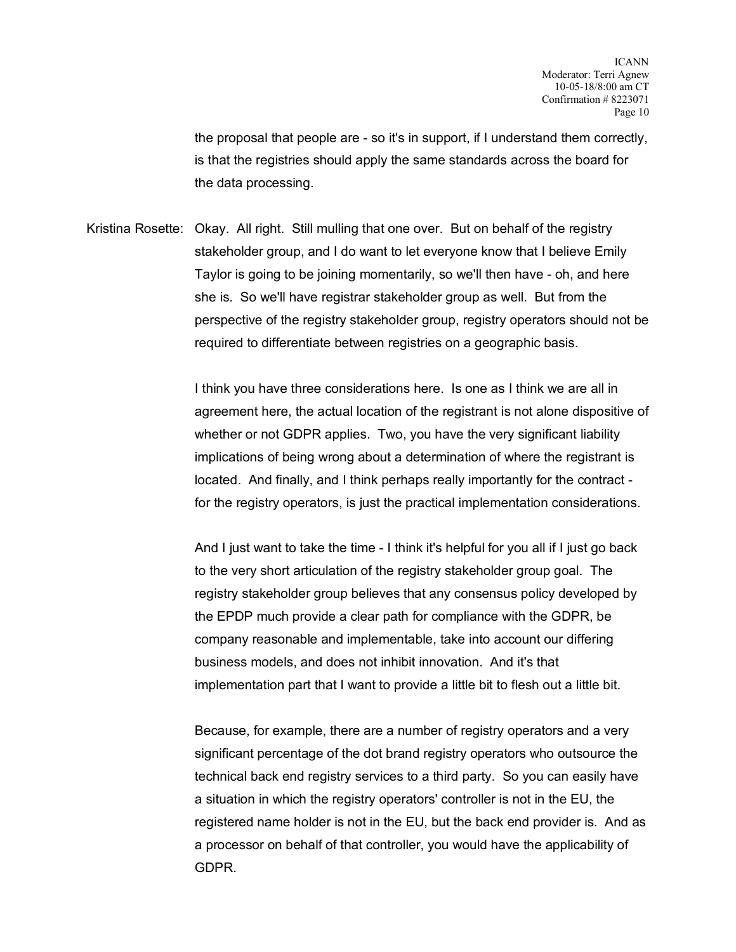the proposal that people are - so it's in support, if I understand them correctly, is that the registries should apply the same standards across the board for the data processing.

Kristina Rosette: Okay. All right. Still mulling that one over. But on behalf of the registry stakeholder group, and I do want to let everyone know that I believe Emily Taylor is going to be joining momentarily, so we'll then have - oh, and here she is. So we'll have registrar stakeholder group as well. But from the perspective of the registry stakeholder group, registry operators should not be required to differentiate between registries on a geographic basis.

> I think you have three considerations here. Is one as I think we are all in agreement here, the actual location of the registrant is not alone dispositive of whether or not GDPR applies. Two, you have the very significant liability implications of being wrong about a determination of where the registrant is located. And finally, and I think perhaps really importantly for the contract for the registry operators, is just the practical implementation considerations.

And I just want to take the time - I think it's helpful for you all if I just go back to the very short articulation of the registry stakeholder group goal. The registry stakeholder group believes that any consensus policy developed by the EPDP much provide a clear path for compliance with the GDPR, be company reasonable and implementable, take into account our differing business models, and does not inhibit innovation. And it's that implementation part that I want to provide a little bit to flesh out a little bit.

Because, for example, there are a number of registry operators and a very significant percentage of the dot brand registry operators who outsource the technical back end registry services to a third party. So you can easily have a situation in which the registry operators' controller is not in the EU, the registered name holder is not in the EU, but the back end provider is. And as a processor on behalf of that controller, you would have the applicability of GDPR.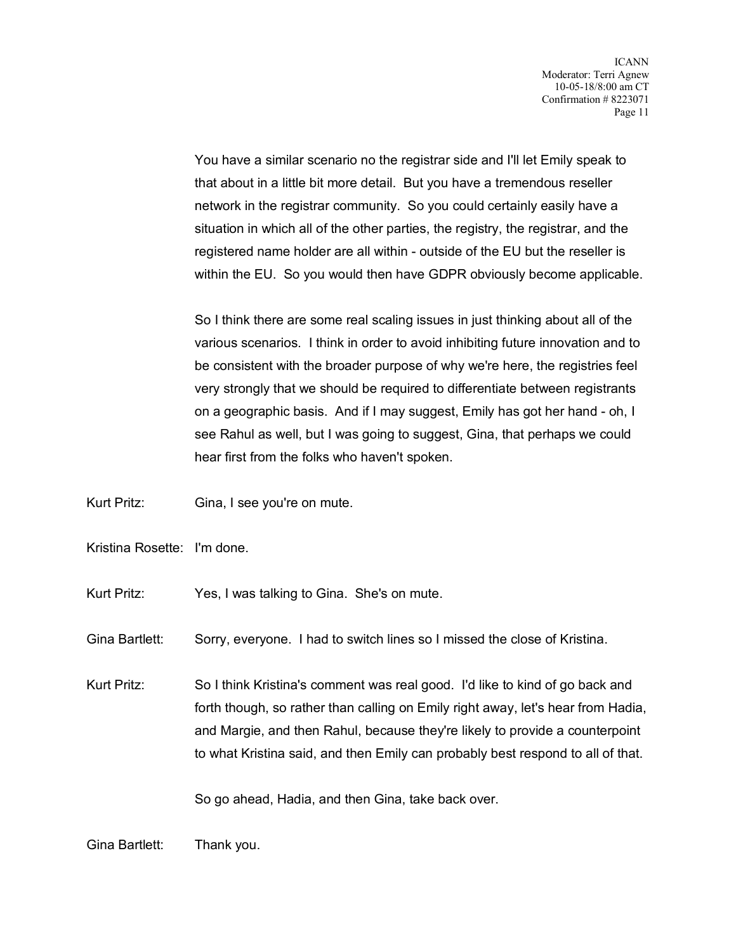You have a similar scenario no the registrar side and I'll let Emily speak to that about in a little bit more detail. But you have a tremendous reseller network in the registrar community. So you could certainly easily have a situation in which all of the other parties, the registry, the registrar, and the registered name holder are all within - outside of the EU but the reseller is within the EU. So you would then have GDPR obviously become applicable.

So I think there are some real scaling issues in just thinking about all of the various scenarios. I think in order to avoid inhibiting future innovation and to be consistent with the broader purpose of why we're here, the registries feel very strongly that we should be required to differentiate between registrants on a geographic basis. And if I may suggest, Emily has got her hand - oh, I see Rahul as well, but I was going to suggest, Gina, that perhaps we could hear first from the folks who haven't spoken.

- Kurt Pritz: Gina, I see you're on mute.
- Kristina Rosette: I'm done.
- Kurt Pritz: Yes, I was talking to Gina. She's on mute.
- Gina Bartlett: Sorry, everyone. I had to switch lines so I missed the close of Kristina.

Kurt Pritz: So I think Kristina's comment was real good. I'd like to kind of go back and forth though, so rather than calling on Emily right away, let's hear from Hadia, and Margie, and then Rahul, because they're likely to provide a counterpoint to what Kristina said, and then Emily can probably best respond to all of that.

So go ahead, Hadia, and then Gina, take back over.

Gina Bartlett: Thank you.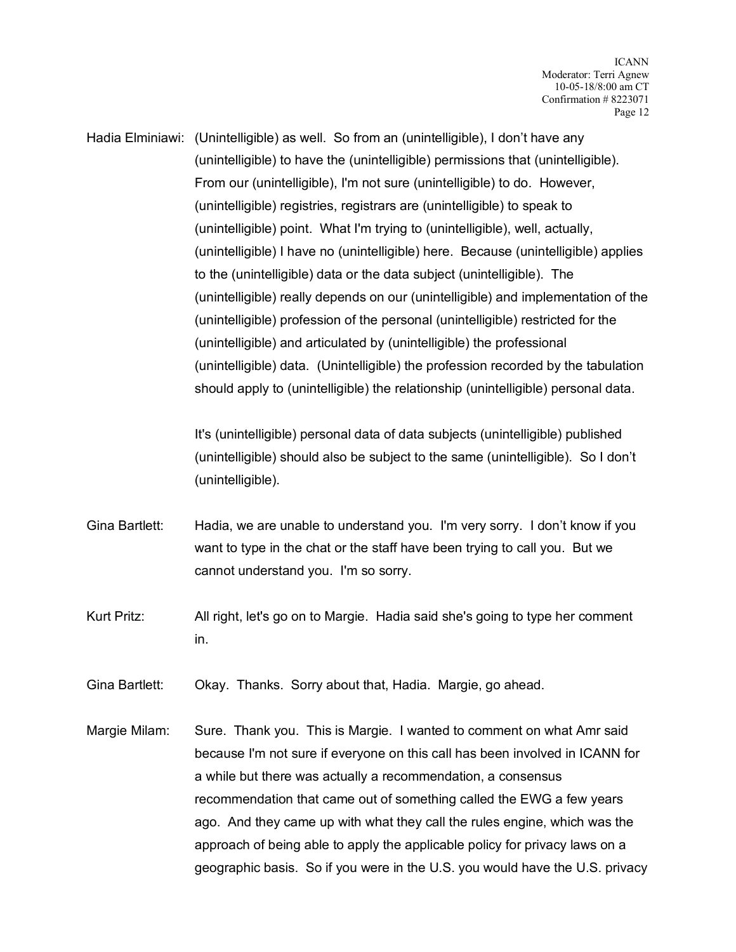Hadia Elminiawi: (Unintelligible) as well. So from an (unintelligible), I don't have any (unintelligible) to have the (unintelligible) permissions that (unintelligible). From our (unintelligible), I'm not sure (unintelligible) to do. However, (unintelligible) registries, registrars are (unintelligible) to speak to (unintelligible) point. What I'm trying to (unintelligible), well, actually, (unintelligible) I have no (unintelligible) here. Because (unintelligible) applies to the (unintelligible) data or the data subject (unintelligible). The (unintelligible) really depends on our (unintelligible) and implementation of the (unintelligible) profession of the personal (unintelligible) restricted for the (unintelligible) and articulated by (unintelligible) the professional (unintelligible) data. (Unintelligible) the profession recorded by the tabulation should apply to (unintelligible) the relationship (unintelligible) personal data.

> It's (unintelligible) personal data of data subjects (unintelligible) published (unintelligible) should also be subject to the same (unintelligible). So I don't (unintelligible).

- Gina Bartlett: Hadia, we are unable to understand you. I'm very sorry. I don't know if you want to type in the chat or the staff have been trying to call you. But we cannot understand you. I'm so sorry.
- Kurt Pritz: All right, let's go on to Margie. Hadia said she's going to type her comment in.

Gina Bartlett: Okay. Thanks. Sorry about that, Hadia. Margie, go ahead.

Margie Milam: Sure. Thank you. This is Margie. I wanted to comment on what Amr said because I'm not sure if everyone on this call has been involved in ICANN for a while but there was actually a recommendation, a consensus recommendation that came out of something called the EWG a few years ago. And they came up with what they call the rules engine, which was the approach of being able to apply the applicable policy for privacy laws on a geographic basis. So if you were in the U.S. you would have the U.S. privacy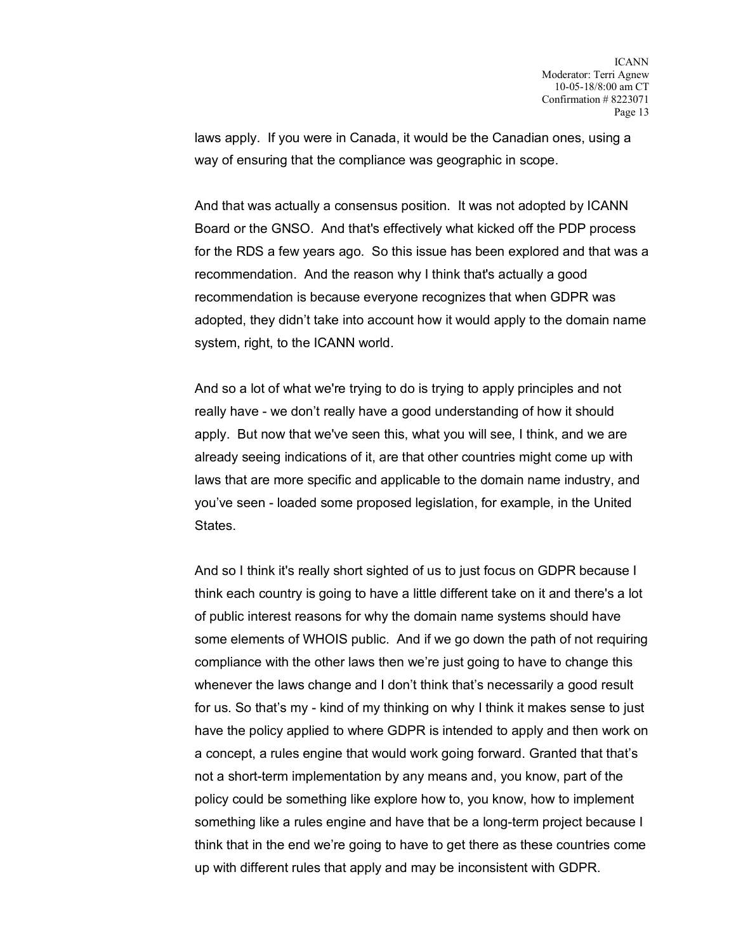laws apply. If you were in Canada, it would be the Canadian ones, using a way of ensuring that the compliance was geographic in scope.

And that was actually a consensus position. It was not adopted by ICANN Board or the GNSO. And that's effectively what kicked off the PDP process for the RDS a few years ago. So this issue has been explored and that was a recommendation. And the reason why I think that's actually a good recommendation is because everyone recognizes that when GDPR was adopted, they didn't take into account how it would apply to the domain name system, right, to the ICANN world.

And so a lot of what we're trying to do is trying to apply principles and not really have - we don't really have a good understanding of how it should apply. But now that we've seen this, what you will see, I think, and we are already seeing indications of it, are that other countries might come up with laws that are more specific and applicable to the domain name industry, and you've seen - loaded some proposed legislation, for example, in the United States.

And so I think it's really short sighted of us to just focus on GDPR because I think each country is going to have a little different take on it and there's a lot of public interest reasons for why the domain name systems should have some elements of WHOIS public. And if we go down the path of not requiring compliance with the other laws then we're just going to have to change this whenever the laws change and I don't think that's necessarily a good result for us. So that's my - kind of my thinking on why I think it makes sense to just have the policy applied to where GDPR is intended to apply and then work on a concept, a rules engine that would work going forward. Granted that that's not a short-term implementation by any means and, you know, part of the policy could be something like explore how to, you know, how to implement something like a rules engine and have that be a long-term project because I think that in the end we're going to have to get there as these countries come up with different rules that apply and may be inconsistent with GDPR.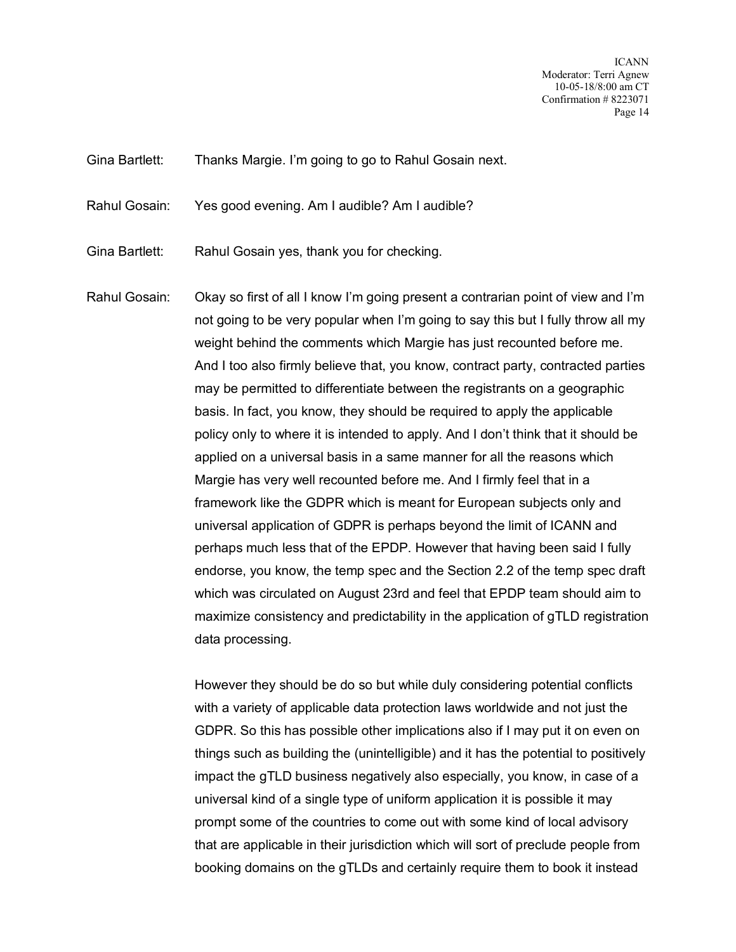ICANN Moderator: Terri Agnew 10-05-18/8:00 am CT Confirmation # 8223071 Page 14

Gina Bartlett: Thanks Margie. I'm going to go to Rahul Gosain next.

Rahul Gosain: Yes good evening. Am I audible? Am I audible?

Gina Bartlett: Rahul Gosain yes, thank you for checking.

Rahul Gosain: Okay so first of all I know I'm going present a contrarian point of view and I'm not going to be very popular when I'm going to say this but I fully throw all my weight behind the comments which Margie has just recounted before me. And I too also firmly believe that, you know, contract party, contracted parties may be permitted to differentiate between the registrants on a geographic basis. In fact, you know, they should be required to apply the applicable policy only to where it is intended to apply. And I don't think that it should be applied on a universal basis in a same manner for all the reasons which Margie has very well recounted before me. And I firmly feel that in a framework like the GDPR which is meant for European subjects only and universal application of GDPR is perhaps beyond the limit of ICANN and perhaps much less that of the EPDP. However that having been said I fully endorse, you know, the temp spec and the Section 2.2 of the temp spec draft which was circulated on August 23rd and feel that EPDP team should aim to maximize consistency and predictability in the application of gTLD registration data processing.

> However they should be do so but while duly considering potential conflicts with a variety of applicable data protection laws worldwide and not just the GDPR. So this has possible other implications also if I may put it on even on things such as building the (unintelligible) and it has the potential to positively impact the gTLD business negatively also especially, you know, in case of a universal kind of a single type of uniform application it is possible it may prompt some of the countries to come out with some kind of local advisory that are applicable in their jurisdiction which will sort of preclude people from booking domains on the gTLDs and certainly require them to book it instead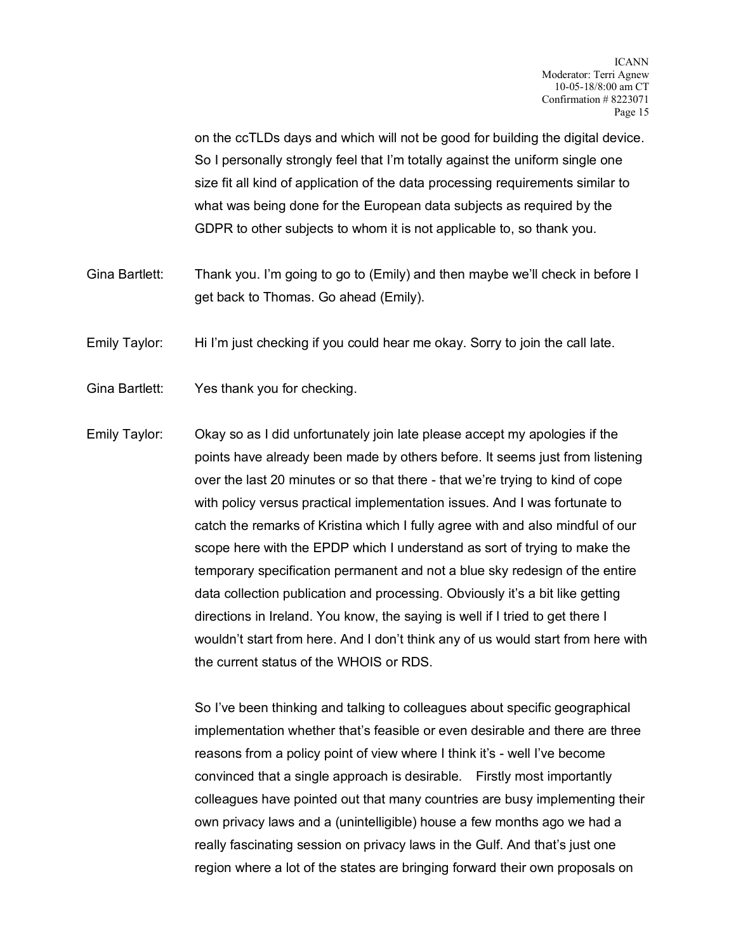on the ccTLDs days and which will not be good for building the digital device. So I personally strongly feel that I'm totally against the uniform single one size fit all kind of application of the data processing requirements similar to what was being done for the European data subjects as required by the GDPR to other subjects to whom it is not applicable to, so thank you.

- Gina Bartlett: Thank you. I'm going to go to (Emily) and then maybe we'll check in before I get back to Thomas. Go ahead (Emily).
- Emily Taylor: Hi I'm just checking if you could hear me okay. Sorry to join the call late.
- Gina Bartlett: Yes thank you for checking.
- Emily Taylor: Okay so as I did unfortunately join late please accept my apologies if the points have already been made by others before. It seems just from listening over the last 20 minutes or so that there - that we're trying to kind of cope with policy versus practical implementation issues. And I was fortunate to catch the remarks of Kristina which I fully agree with and also mindful of our scope here with the EPDP which I understand as sort of trying to make the temporary specification permanent and not a blue sky redesign of the entire data collection publication and processing. Obviously it's a bit like getting directions in Ireland. You know, the saying is well if I tried to get there I wouldn't start from here. And I don't think any of us would start from here with the current status of the WHOIS or RDS.

So I've been thinking and talking to colleagues about specific geographical implementation whether that's feasible or even desirable and there are three reasons from a policy point of view where I think it's - well I've become convinced that a single approach is desirable. Firstly most importantly colleagues have pointed out that many countries are busy implementing their own privacy laws and a (unintelligible) house a few months ago we had a really fascinating session on privacy laws in the Gulf. And that's just one region where a lot of the states are bringing forward their own proposals on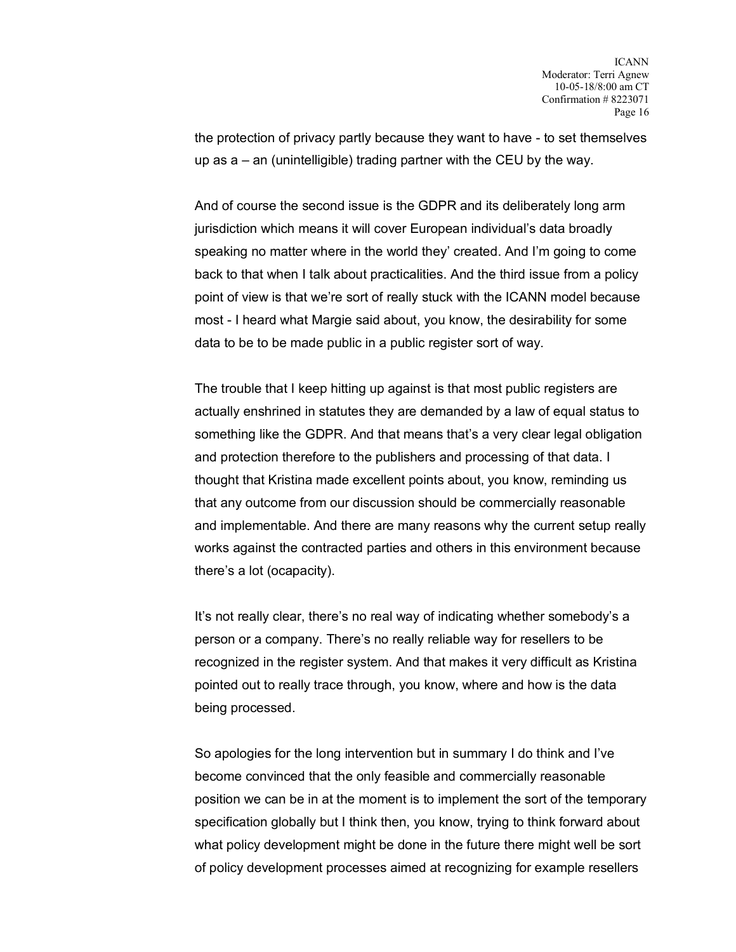the protection of privacy partly because they want to have - to set themselves up as  $a - an$  (unintelligible) trading partner with the CEU by the way.

And of course the second issue is the GDPR and its deliberately long arm jurisdiction which means it will cover European individual's data broadly speaking no matter where in the world they' created. And I'm going to come back to that when I talk about practicalities. And the third issue from a policy point of view is that we're sort of really stuck with the ICANN model because most - I heard what Margie said about, you know, the desirability for some data to be to be made public in a public register sort of way.

The trouble that I keep hitting up against is that most public registers are actually enshrined in statutes they are demanded by a law of equal status to something like the GDPR. And that means that's a very clear legal obligation and protection therefore to the publishers and processing of that data. I thought that Kristina made excellent points about, you know, reminding us that any outcome from our discussion should be commercially reasonable and implementable. And there are many reasons why the current setup really works against the contracted parties and others in this environment because there's a lot (ocapacity).

It's not really clear, there's no real way of indicating whether somebody's a person or a company. There's no really reliable way for resellers to be recognized in the register system. And that makes it very difficult as Kristina pointed out to really trace through, you know, where and how is the data being processed.

So apologies for the long intervention but in summary I do think and I've become convinced that the only feasible and commercially reasonable position we can be in at the moment is to implement the sort of the temporary specification globally but I think then, you know, trying to think forward about what policy development might be done in the future there might well be sort of policy development processes aimed at recognizing for example resellers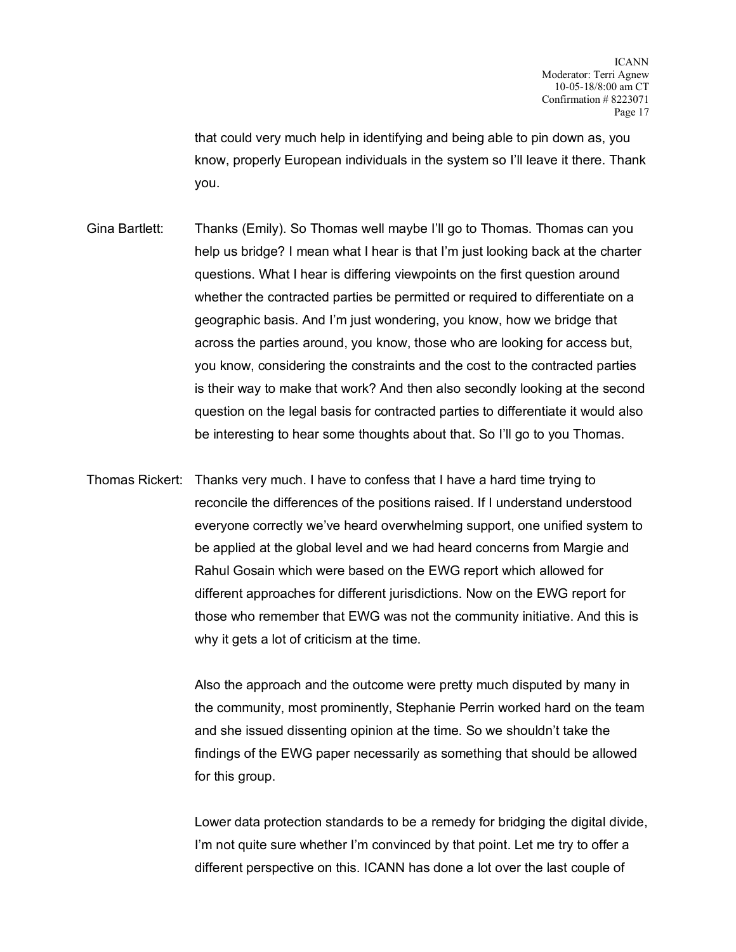that could very much help in identifying and being able to pin down as, you know, properly European individuals in the system so I'll leave it there. Thank you.

- Gina Bartlett: Thanks (Emily). So Thomas well maybe I'll go to Thomas. Thomas can you help us bridge? I mean what I hear is that I'm just looking back at the charter questions. What I hear is differing viewpoints on the first question around whether the contracted parties be permitted or required to differentiate on a geographic basis. And I'm just wondering, you know, how we bridge that across the parties around, you know, those who are looking for access but, you know, considering the constraints and the cost to the contracted parties is their way to make that work? And then also secondly looking at the second question on the legal basis for contracted parties to differentiate it would also be interesting to hear some thoughts about that. So I'll go to you Thomas.
- Thomas Rickert: Thanks very much. I have to confess that I have a hard time trying to reconcile the differences of the positions raised. If I understand understood everyone correctly we've heard overwhelming support, one unified system to be applied at the global level and we had heard concerns from Margie and Rahul Gosain which were based on the EWG report which allowed for different approaches for different jurisdictions. Now on the EWG report for those who remember that EWG was not the community initiative. And this is why it gets a lot of criticism at the time.

Also the approach and the outcome were pretty much disputed by many in the community, most prominently, Stephanie Perrin worked hard on the team and she issued dissenting opinion at the time. So we shouldn't take the findings of the EWG paper necessarily as something that should be allowed for this group.

Lower data protection standards to be a remedy for bridging the digital divide, I'm not quite sure whether I'm convinced by that point. Let me try to offer a different perspective on this. ICANN has done a lot over the last couple of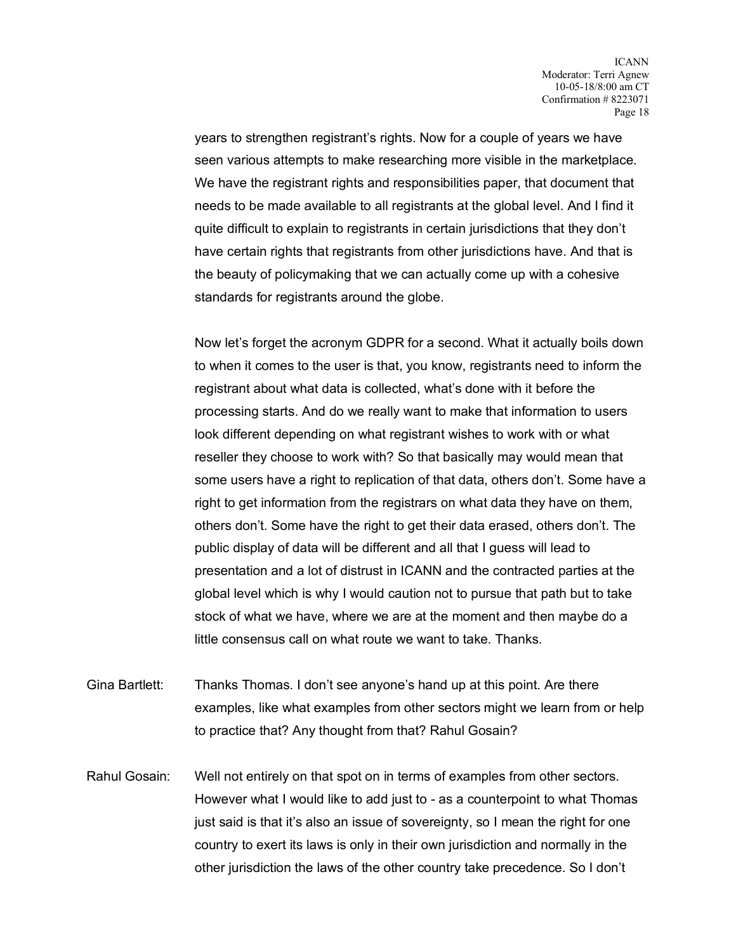years to strengthen registrant's rights. Now for a couple of years we have seen various attempts to make researching more visible in the marketplace. We have the registrant rights and responsibilities paper, that document that needs to be made available to all registrants at the global level. And I find it quite difficult to explain to registrants in certain jurisdictions that they don't have certain rights that registrants from other jurisdictions have. And that is the beauty of policymaking that we can actually come up with a cohesive standards for registrants around the globe.

Now let's forget the acronym GDPR for a second. What it actually boils down to when it comes to the user is that, you know, registrants need to inform the registrant about what data is collected, what's done with it before the processing starts. And do we really want to make that information to users look different depending on what registrant wishes to work with or what reseller they choose to work with? So that basically may would mean that some users have a right to replication of that data, others don't. Some have a right to get information from the registrars on what data they have on them, others don't. Some have the right to get their data erased, others don't. The public display of data will be different and all that I guess will lead to presentation and a lot of distrust in ICANN and the contracted parties at the global level which is why I would caution not to pursue that path but to take stock of what we have, where we are at the moment and then maybe do a little consensus call on what route we want to take. Thanks.

Gina Bartlett: Thanks Thomas. I don't see anyone's hand up at this point. Are there examples, like what examples from other sectors might we learn from or help to practice that? Any thought from that? Rahul Gosain?

Rahul Gosain: Well not entirely on that spot on in terms of examples from other sectors. However what I would like to add just to - as a counterpoint to what Thomas just said is that it's also an issue of sovereignty, so I mean the right for one country to exert its laws is only in their own jurisdiction and normally in the other jurisdiction the laws of the other country take precedence. So I don't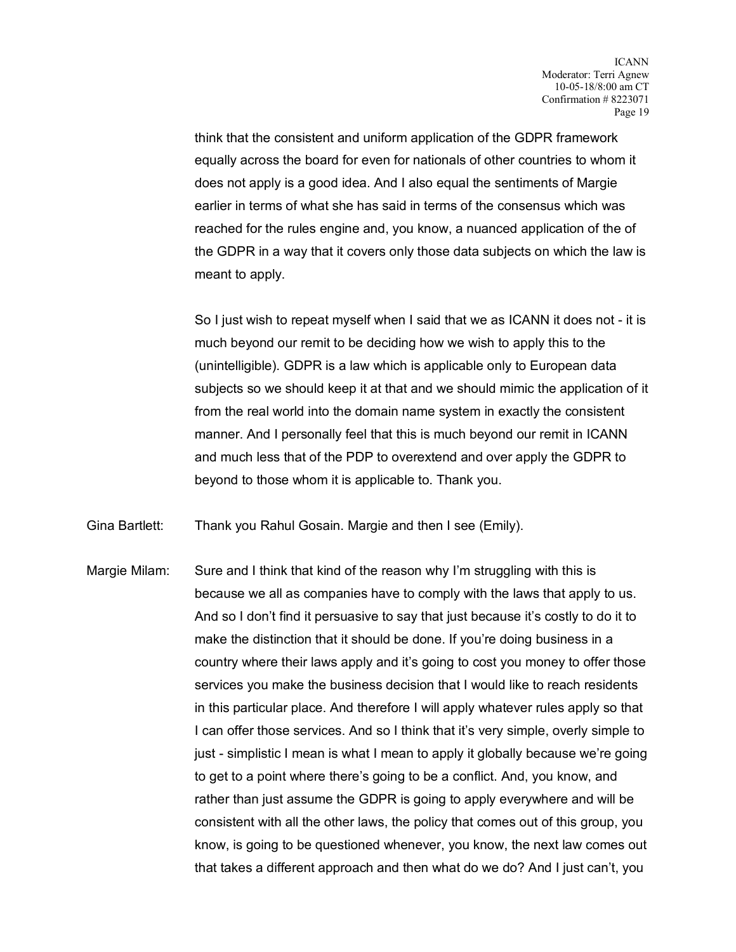think that the consistent and uniform application of the GDPR framework equally across the board for even for nationals of other countries to whom it does not apply is a good idea. And I also equal the sentiments of Margie earlier in terms of what she has said in terms of the consensus which was reached for the rules engine and, you know, a nuanced application of the of the GDPR in a way that it covers only those data subjects on which the law is meant to apply.

So I just wish to repeat myself when I said that we as ICANN it does not - it is much beyond our remit to be deciding how we wish to apply this to the (unintelligible). GDPR is a law which is applicable only to European data subjects so we should keep it at that and we should mimic the application of it from the real world into the domain name system in exactly the consistent manner. And I personally feel that this is much beyond our remit in ICANN and much less that of the PDP to overextend and over apply the GDPR to beyond to those whom it is applicable to. Thank you.

Gina Bartlett: Thank you Rahul Gosain. Margie and then I see (Emily).

Margie Milam: Sure and I think that kind of the reason why I'm struggling with this is because we all as companies have to comply with the laws that apply to us. And so I don't find it persuasive to say that just because it's costly to do it to make the distinction that it should be done. If you're doing business in a country where their laws apply and it's going to cost you money to offer those services you make the business decision that I would like to reach residents in this particular place. And therefore I will apply whatever rules apply so that I can offer those services. And so I think that it's very simple, overly simple to just - simplistic I mean is what I mean to apply it globally because we're going to get to a point where there's going to be a conflict. And, you know, and rather than just assume the GDPR is going to apply everywhere and will be consistent with all the other laws, the policy that comes out of this group, you know, is going to be questioned whenever, you know, the next law comes out that takes a different approach and then what do we do? And I just can't, you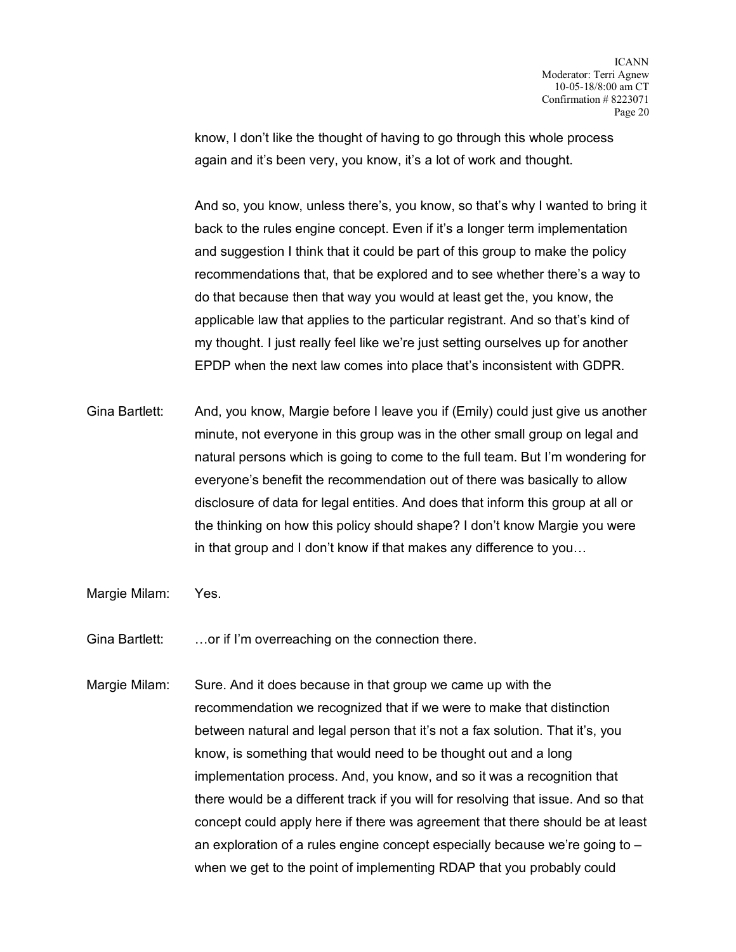know, I don't like the thought of having to go through this whole process again and it's been very, you know, it's a lot of work and thought.

And so, you know, unless there's, you know, so that's why I wanted to bring it back to the rules engine concept. Even if it's a longer term implementation and suggestion I think that it could be part of this group to make the policy recommendations that, that be explored and to see whether there's a way to do that because then that way you would at least get the, you know, the applicable law that applies to the particular registrant. And so that's kind of my thought. I just really feel like we're just setting ourselves up for another EPDP when the next law comes into place that's inconsistent with GDPR.

- Gina Bartlett: And, you know, Margie before I leave you if (Emily) could just give us another minute, not everyone in this group was in the other small group on legal and natural persons which is going to come to the full team. But I'm wondering for everyone's benefit the recommendation out of there was basically to allow disclosure of data for legal entities. And does that inform this group at all or the thinking on how this policy should shape? I don't know Margie you were in that group and I don't know if that makes any difference to you…
- Margie Milam: Yes.
- Gina Bartlett: …or if I'm overreaching on the connection there.
- Margie Milam: Sure. And it does because in that group we came up with the recommendation we recognized that if we were to make that distinction between natural and legal person that it's not a fax solution. That it's, you know, is something that would need to be thought out and a long implementation process. And, you know, and so it was a recognition that there would be a different track if you will for resolving that issue. And so that concept could apply here if there was agreement that there should be at least an exploration of a rules engine concept especially because we're going to – when we get to the point of implementing RDAP that you probably could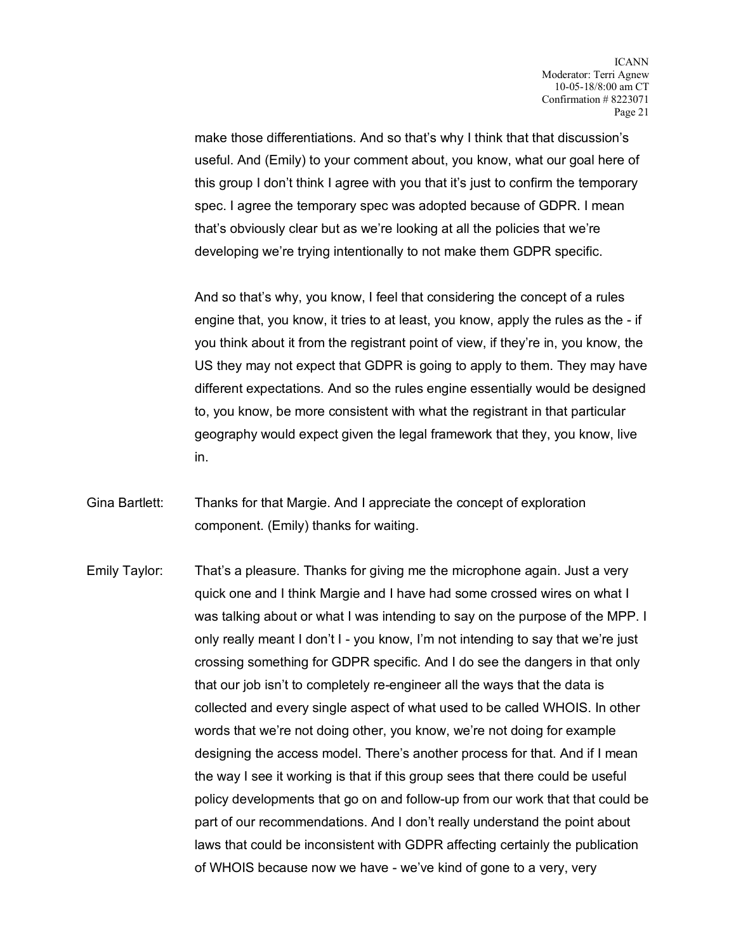make those differentiations. And so that's why I think that that discussion's useful. And (Emily) to your comment about, you know, what our goal here of this group I don't think I agree with you that it's just to confirm the temporary spec. I agree the temporary spec was adopted because of GDPR. I mean that's obviously clear but as we're looking at all the policies that we're developing we're trying intentionally to not make them GDPR specific.

And so that's why, you know, I feel that considering the concept of a rules engine that, you know, it tries to at least, you know, apply the rules as the - if you think about it from the registrant point of view, if they're in, you know, the US they may not expect that GDPR is going to apply to them. They may have different expectations. And so the rules engine essentially would be designed to, you know, be more consistent with what the registrant in that particular geography would expect given the legal framework that they, you know, live in.

- Gina Bartlett: Thanks for that Margie. And I appreciate the concept of exploration component. (Emily) thanks for waiting.
- Emily Taylor: That's a pleasure. Thanks for giving me the microphone again. Just a very quick one and I think Margie and I have had some crossed wires on what I was talking about or what I was intending to say on the purpose of the MPP. I only really meant I don't I - you know, I'm not intending to say that we're just crossing something for GDPR specific. And I do see the dangers in that only that our job isn't to completely re-engineer all the ways that the data is collected and every single aspect of what used to be called WHOIS. In other words that we're not doing other, you know, we're not doing for example designing the access model. There's another process for that. And if I mean the way I see it working is that if this group sees that there could be useful policy developments that go on and follow-up from our work that that could be part of our recommendations. And I don't really understand the point about laws that could be inconsistent with GDPR affecting certainly the publication of WHOIS because now we have - we've kind of gone to a very, very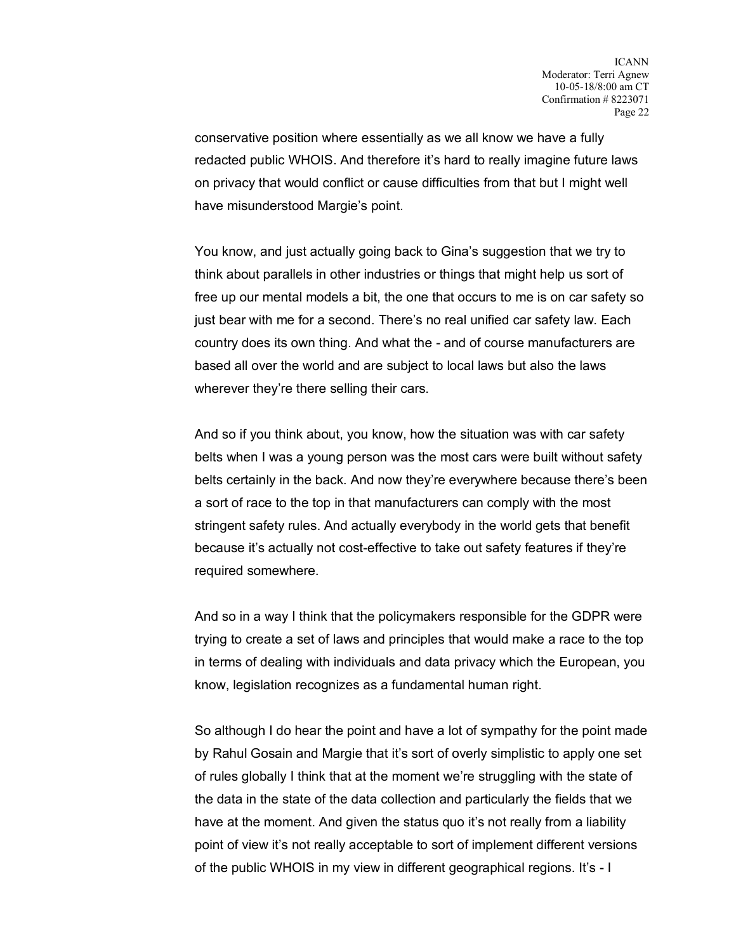conservative position where essentially as we all know we have a fully redacted public WHOIS. And therefore it's hard to really imagine future laws on privacy that would conflict or cause difficulties from that but I might well have misunderstood Margie's point.

You know, and just actually going back to Gina's suggestion that we try to think about parallels in other industries or things that might help us sort of free up our mental models a bit, the one that occurs to me is on car safety so just bear with me for a second. There's no real unified car safety law. Each country does its own thing. And what the - and of course manufacturers are based all over the world and are subject to local laws but also the laws wherever they're there selling their cars.

And so if you think about, you know, how the situation was with car safety belts when I was a young person was the most cars were built without safety belts certainly in the back. And now they're everywhere because there's been a sort of race to the top in that manufacturers can comply with the most stringent safety rules. And actually everybody in the world gets that benefit because it's actually not cost-effective to take out safety features if they're required somewhere.

And so in a way I think that the policymakers responsible for the GDPR were trying to create a set of laws and principles that would make a race to the top in terms of dealing with individuals and data privacy which the European, you know, legislation recognizes as a fundamental human right.

So although I do hear the point and have a lot of sympathy for the point made by Rahul Gosain and Margie that it's sort of overly simplistic to apply one set of rules globally I think that at the moment we're struggling with the state of the data in the state of the data collection and particularly the fields that we have at the moment. And given the status quo it's not really from a liability point of view it's not really acceptable to sort of implement different versions of the public WHOIS in my view in different geographical regions. It's - I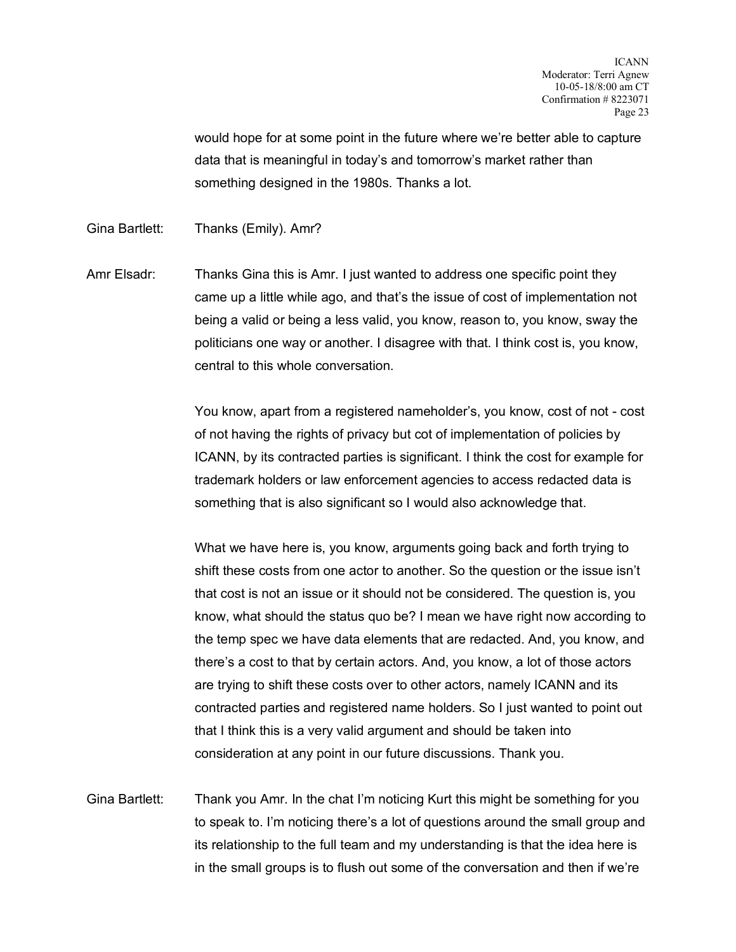would hope for at some point in the future where we're better able to capture data that is meaningful in today's and tomorrow's market rather than something designed in the 1980s. Thanks a lot.

Gina Bartlett: Thanks (Emily). Amr?

Amr Elsadr: Thanks Gina this is Amr. I just wanted to address one specific point they came up a little while ago, and that's the issue of cost of implementation not being a valid or being a less valid, you know, reason to, you know, sway the politicians one way or another. I disagree with that. I think cost is, you know, central to this whole conversation.

> You know, apart from a registered nameholder's, you know, cost of not - cost of not having the rights of privacy but cot of implementation of policies by ICANN, by its contracted parties is significant. I think the cost for example for trademark holders or law enforcement agencies to access redacted data is something that is also significant so I would also acknowledge that.

> What we have here is, you know, arguments going back and forth trying to shift these costs from one actor to another. So the question or the issue isn't that cost is not an issue or it should not be considered. The question is, you know, what should the status quo be? I mean we have right now according to the temp spec we have data elements that are redacted. And, you know, and there's a cost to that by certain actors. And, you know, a lot of those actors are trying to shift these costs over to other actors, namely ICANN and its contracted parties and registered name holders. So I just wanted to point out that I think this is a very valid argument and should be taken into consideration at any point in our future discussions. Thank you.

Gina Bartlett: Thank you Amr. In the chat I'm noticing Kurt this might be something for you to speak to. I'm noticing there's a lot of questions around the small group and its relationship to the full team and my understanding is that the idea here is in the small groups is to flush out some of the conversation and then if we're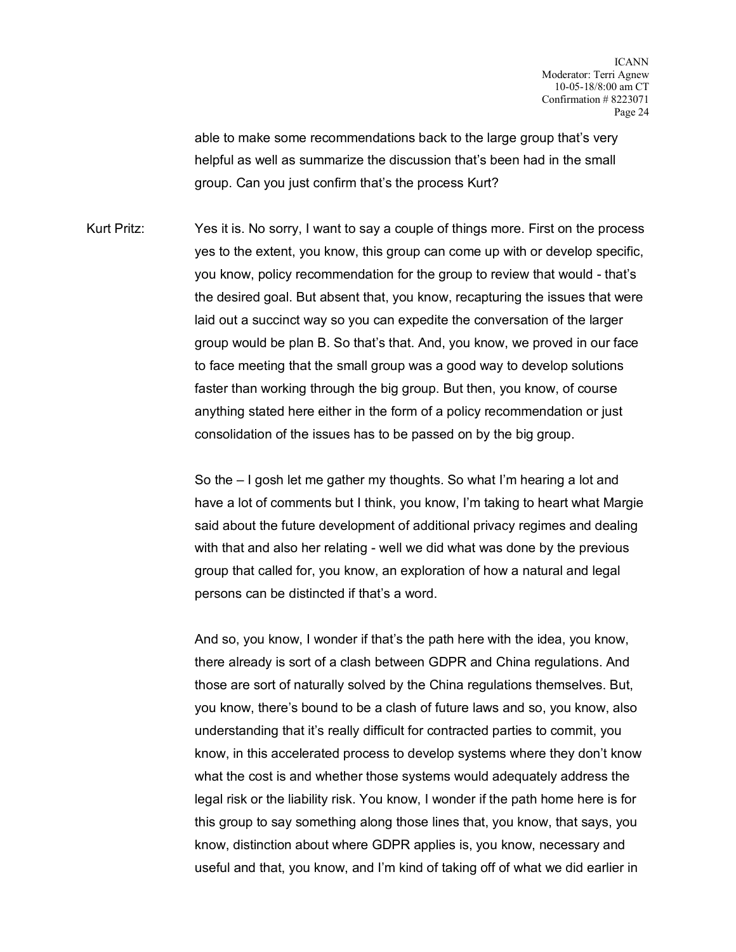able to make some recommendations back to the large group that's very helpful as well as summarize the discussion that's been had in the small group. Can you just confirm that's the process Kurt?

Kurt Pritz: Yes it is. No sorry, I want to say a couple of things more. First on the process yes to the extent, you know, this group can come up with or develop specific, you know, policy recommendation for the group to review that would - that's the desired goal. But absent that, you know, recapturing the issues that were laid out a succinct way so you can expedite the conversation of the larger group would be plan B. So that's that. And, you know, we proved in our face to face meeting that the small group was a good way to develop solutions faster than working through the big group. But then, you know, of course anything stated here either in the form of a policy recommendation or just consolidation of the issues has to be passed on by the big group.

> So the – I gosh let me gather my thoughts. So what I'm hearing a lot and have a lot of comments but I think, you know, I'm taking to heart what Margie said about the future development of additional privacy regimes and dealing with that and also her relating - well we did what was done by the previous group that called for, you know, an exploration of how a natural and legal persons can be distincted if that's a word.

> And so, you know, I wonder if that's the path here with the idea, you know, there already is sort of a clash between GDPR and China regulations. And those are sort of naturally solved by the China regulations themselves. But, you know, there's bound to be a clash of future laws and so, you know, also understanding that it's really difficult for contracted parties to commit, you know, in this accelerated process to develop systems where they don't know what the cost is and whether those systems would adequately address the legal risk or the liability risk. You know, I wonder if the path home here is for this group to say something along those lines that, you know, that says, you know, distinction about where GDPR applies is, you know, necessary and useful and that, you know, and I'm kind of taking off of what we did earlier in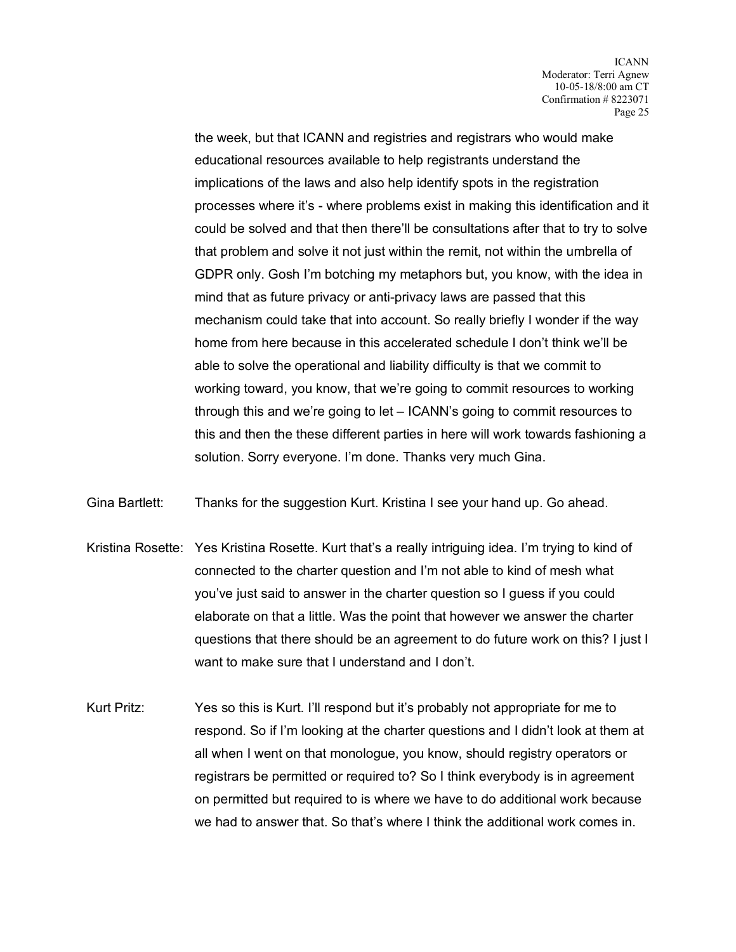the week, but that ICANN and registries and registrars who would make educational resources available to help registrants understand the implications of the laws and also help identify spots in the registration processes where it's - where problems exist in making this identification and it could be solved and that then there'll be consultations after that to try to solve that problem and solve it not just within the remit, not within the umbrella of GDPR only. Gosh I'm botching my metaphors but, you know, with the idea in mind that as future privacy or anti-privacy laws are passed that this mechanism could take that into account. So really briefly I wonder if the way home from here because in this accelerated schedule I don't think we'll be able to solve the operational and liability difficulty is that we commit to working toward, you know, that we're going to commit resources to working through this and we're going to let – ICANN's going to commit resources to this and then the these different parties in here will work towards fashioning a solution. Sorry everyone. I'm done. Thanks very much Gina.

Gina Bartlett: Thanks for the suggestion Kurt. Kristina I see your hand up. Go ahead.

- Kristina Rosette: Yes Kristina Rosette. Kurt that's a really intriguing idea. I'm trying to kind of connected to the charter question and I'm not able to kind of mesh what you've just said to answer in the charter question so I guess if you could elaborate on that a little. Was the point that however we answer the charter questions that there should be an agreement to do future work on this? I just I want to make sure that I understand and I don't.
- Kurt Pritz: Yes so this is Kurt. I'll respond but it's probably not appropriate for me to respond. So if I'm looking at the charter questions and I didn't look at them at all when I went on that monologue, you know, should registry operators or registrars be permitted or required to? So I think everybody is in agreement on permitted but required to is where we have to do additional work because we had to answer that. So that's where I think the additional work comes in.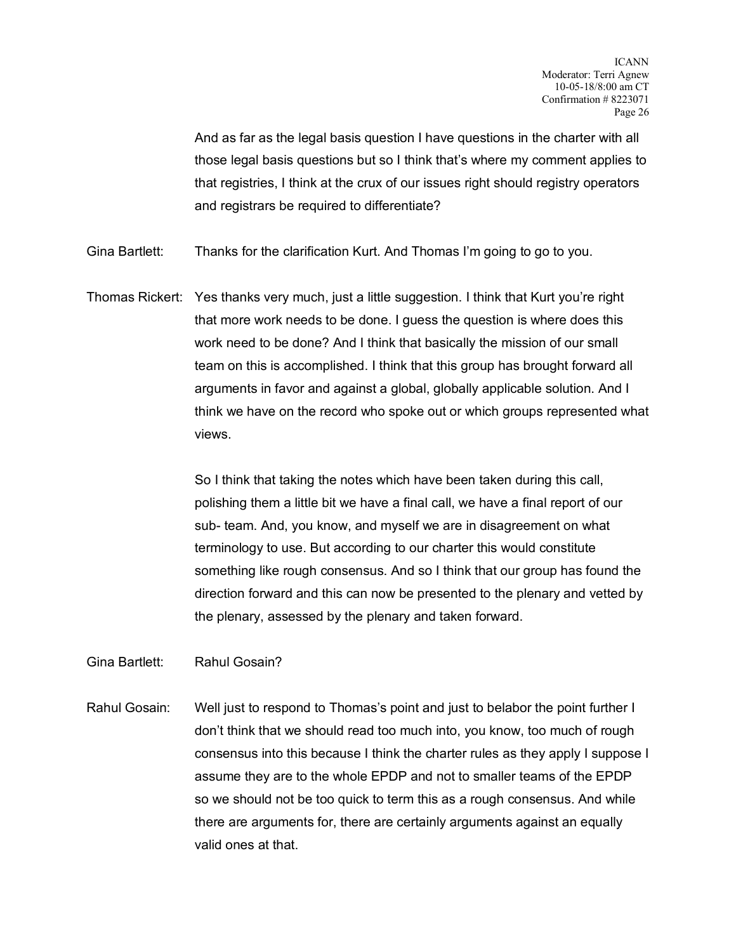And as far as the legal basis question I have questions in the charter with all those legal basis questions but so I think that's where my comment applies to that registries, I think at the crux of our issues right should registry operators and registrars be required to differentiate?

Gina Bartlett: Thanks for the clarification Kurt. And Thomas I'm going to go to you.

Thomas Rickert: Yes thanks very much, just a little suggestion. I think that Kurt you're right that more work needs to be done. I guess the question is where does this work need to be done? And I think that basically the mission of our small team on this is accomplished. I think that this group has brought forward all arguments in favor and against a global, globally applicable solution. And I think we have on the record who spoke out or which groups represented what views.

> So I think that taking the notes which have been taken during this call, polishing them a little bit we have a final call, we have a final report of our sub- team. And, you know, and myself we are in disagreement on what terminology to use. But according to our charter this would constitute something like rough consensus. And so I think that our group has found the direction forward and this can now be presented to the plenary and vetted by the plenary, assessed by the plenary and taken forward.

Gina Bartlett: Rahul Gosain?

Rahul Gosain: Well just to respond to Thomas's point and just to belabor the point further I don't think that we should read too much into, you know, too much of rough consensus into this because I think the charter rules as they apply I suppose I assume they are to the whole EPDP and not to smaller teams of the EPDP so we should not be too quick to term this as a rough consensus. And while there are arguments for, there are certainly arguments against an equally valid ones at that.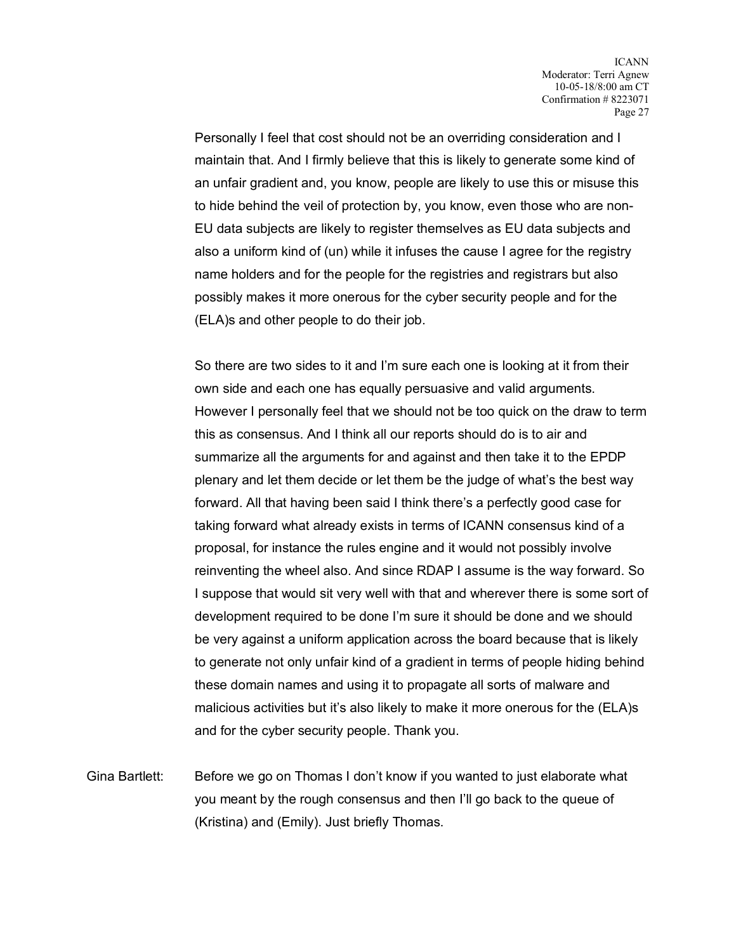Personally I feel that cost should not be an overriding consideration and I maintain that. And I firmly believe that this is likely to generate some kind of an unfair gradient and, you know, people are likely to use this or misuse this to hide behind the veil of protection by, you know, even those who are non-EU data subjects are likely to register themselves as EU data subjects and also a uniform kind of (un) while it infuses the cause I agree for the registry name holders and for the people for the registries and registrars but also possibly makes it more onerous for the cyber security people and for the (ELA)s and other people to do their job.

So there are two sides to it and I'm sure each one is looking at it from their own side and each one has equally persuasive and valid arguments. However I personally feel that we should not be too quick on the draw to term this as consensus. And I think all our reports should do is to air and summarize all the arguments for and against and then take it to the EPDP plenary and let them decide or let them be the judge of what's the best way forward. All that having been said I think there's a perfectly good case for taking forward what already exists in terms of ICANN consensus kind of a proposal, for instance the rules engine and it would not possibly involve reinventing the wheel also. And since RDAP I assume is the way forward. So I suppose that would sit very well with that and wherever there is some sort of development required to be done I'm sure it should be done and we should be very against a uniform application across the board because that is likely to generate not only unfair kind of a gradient in terms of people hiding behind these domain names and using it to propagate all sorts of malware and malicious activities but it's also likely to make it more onerous for the (ELA)s and for the cyber security people. Thank you.

Gina Bartlett: Before we go on Thomas I don't know if you wanted to just elaborate what you meant by the rough consensus and then I'll go back to the queue of (Kristina) and (Emily). Just briefly Thomas.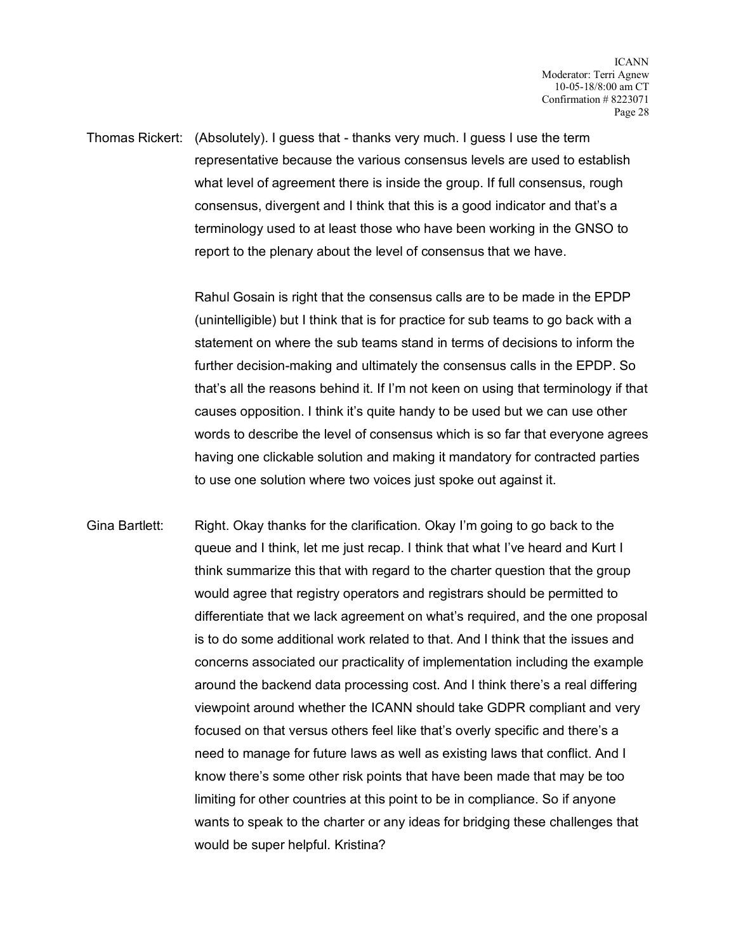Thomas Rickert: (Absolutely). I guess that - thanks very much. I guess I use the term representative because the various consensus levels are used to establish what level of agreement there is inside the group. If full consensus, rough consensus, divergent and I think that this is a good indicator and that's a terminology used to at least those who have been working in the GNSO to report to the plenary about the level of consensus that we have.

> Rahul Gosain is right that the consensus calls are to be made in the EPDP (unintelligible) but I think that is for practice for sub teams to go back with a statement on where the sub teams stand in terms of decisions to inform the further decision-making and ultimately the consensus calls in the EPDP. So that's all the reasons behind it. If I'm not keen on using that terminology if that causes opposition. I think it's quite handy to be used but we can use other words to describe the level of consensus which is so far that everyone agrees having one clickable solution and making it mandatory for contracted parties to use one solution where two voices just spoke out against it.

Gina Bartlett: Right. Okay thanks for the clarification. Okay I'm going to go back to the queue and I think, let me just recap. I think that what I've heard and Kurt I think summarize this that with regard to the charter question that the group would agree that registry operators and registrars should be permitted to differentiate that we lack agreement on what's required, and the one proposal is to do some additional work related to that. And I think that the issues and concerns associated our practicality of implementation including the example around the backend data processing cost. And I think there's a real differing viewpoint around whether the ICANN should take GDPR compliant and very focused on that versus others feel like that's overly specific and there's a need to manage for future laws as well as existing laws that conflict. And I know there's some other risk points that have been made that may be too limiting for other countries at this point to be in compliance. So if anyone wants to speak to the charter or any ideas for bridging these challenges that would be super helpful. Kristina?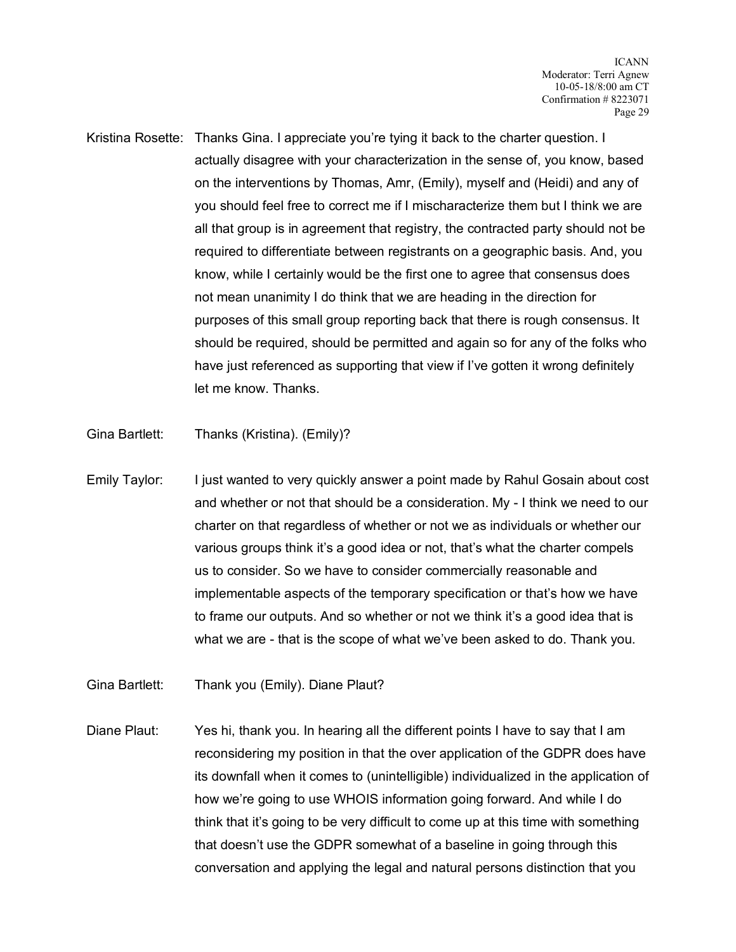- Kristina Rosette: Thanks Gina. I appreciate you're tying it back to the charter question. I actually disagree with your characterization in the sense of, you know, based on the interventions by Thomas, Amr, (Emily), myself and (Heidi) and any of you should feel free to correct me if I mischaracterize them but I think we are all that group is in agreement that registry, the contracted party should not be required to differentiate between registrants on a geographic basis. And, you know, while I certainly would be the first one to agree that consensus does not mean unanimity I do think that we are heading in the direction for purposes of this small group reporting back that there is rough consensus. It should be required, should be permitted and again so for any of the folks who have just referenced as supporting that view if I've gotten it wrong definitely let me know. Thanks.
- Gina Bartlett: Thanks (Kristina). (Emily)?
- Emily Taylor: I just wanted to very quickly answer a point made by Rahul Gosain about cost and whether or not that should be a consideration. My - I think we need to our charter on that regardless of whether or not we as individuals or whether our various groups think it's a good idea or not, that's what the charter compels us to consider. So we have to consider commercially reasonable and implementable aspects of the temporary specification or that's how we have to frame our outputs. And so whether or not we think it's a good idea that is what we are - that is the scope of what we've been asked to do. Thank you.
- Gina Bartlett: Thank you (Emily). Diane Plaut?
- Diane Plaut: Yes hi, thank you. In hearing all the different points I have to say that I am reconsidering my position in that the over application of the GDPR does have its downfall when it comes to (unintelligible) individualized in the application of how we're going to use WHOIS information going forward. And while I do think that it's going to be very difficult to come up at this time with something that doesn't use the GDPR somewhat of a baseline in going through this conversation and applying the legal and natural persons distinction that you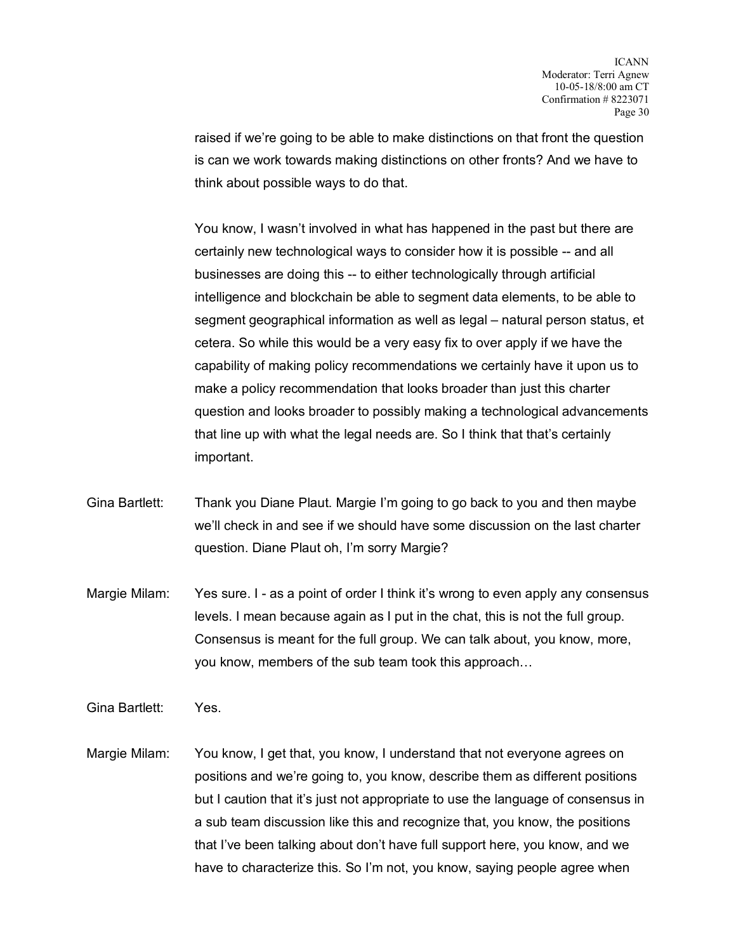raised if we're going to be able to make distinctions on that front the question is can we work towards making distinctions on other fronts? And we have to think about possible ways to do that.

You know, I wasn't involved in what has happened in the past but there are certainly new technological ways to consider how it is possible -- and all businesses are doing this -- to either technologically through artificial intelligence and blockchain be able to segment data elements, to be able to segment geographical information as well as legal – natural person status, et cetera. So while this would be a very easy fix to over apply if we have the capability of making policy recommendations we certainly have it upon us to make a policy recommendation that looks broader than just this charter question and looks broader to possibly making a technological advancements that line up with what the legal needs are. So I think that that's certainly important.

- Gina Bartlett: Thank you Diane Plaut. Margie I'm going to go back to you and then maybe we'll check in and see if we should have some discussion on the last charter question. Diane Plaut oh, I'm sorry Margie?
- Margie Milam: Yes sure. I as a point of order I think it's wrong to even apply any consensus levels. I mean because again as I put in the chat, this is not the full group. Consensus is meant for the full group. We can talk about, you know, more, you know, members of the sub team took this approach…

Gina Bartlett: Yes.

Margie Milam: You know, I get that, you know, I understand that not everyone agrees on positions and we're going to, you know, describe them as different positions but I caution that it's just not appropriate to use the language of consensus in a sub team discussion like this and recognize that, you know, the positions that I've been talking about don't have full support here, you know, and we have to characterize this. So I'm not, you know, saying people agree when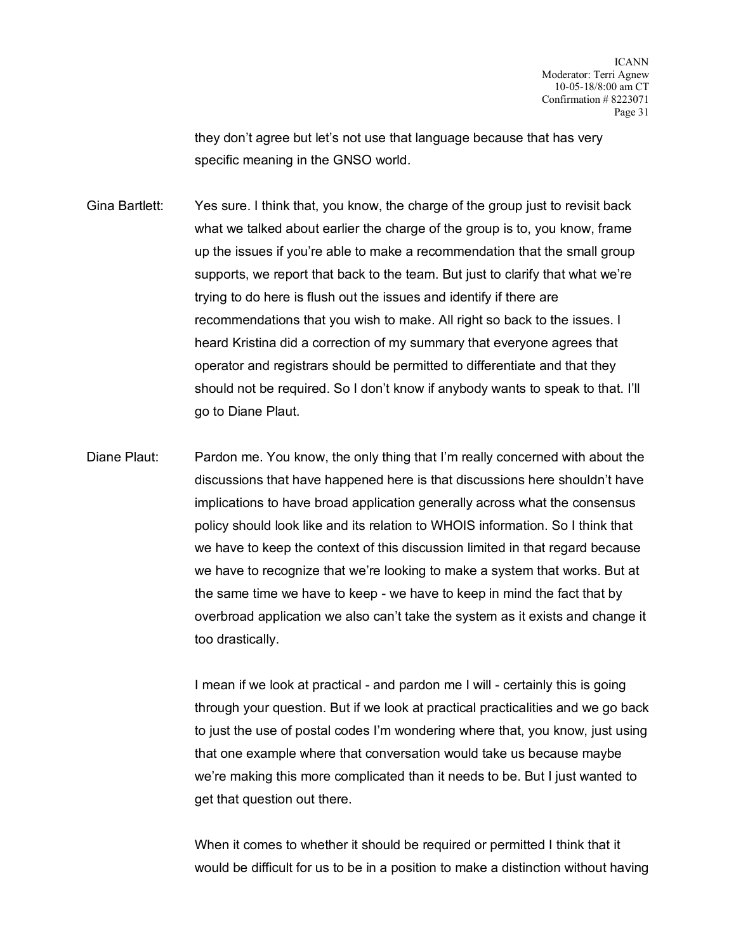they don't agree but let's not use that language because that has very specific meaning in the GNSO world.

Gina Bartlett: Yes sure. I think that, you know, the charge of the group just to revisit back what we talked about earlier the charge of the group is to, you know, frame up the issues if you're able to make a recommendation that the small group supports, we report that back to the team. But just to clarify that what we're trying to do here is flush out the issues and identify if there are recommendations that you wish to make. All right so back to the issues. I heard Kristina did a correction of my summary that everyone agrees that operator and registrars should be permitted to differentiate and that they should not be required. So I don't know if anybody wants to speak to that. I'll go to Diane Plaut.

Diane Plaut: Pardon me. You know, the only thing that I'm really concerned with about the discussions that have happened here is that discussions here shouldn't have implications to have broad application generally across what the consensus policy should look like and its relation to WHOIS information. So I think that we have to keep the context of this discussion limited in that regard because we have to recognize that we're looking to make a system that works. But at the same time we have to keep - we have to keep in mind the fact that by overbroad application we also can't take the system as it exists and change it too drastically.

> I mean if we look at practical - and pardon me I will - certainly this is going through your question. But if we look at practical practicalities and we go back to just the use of postal codes I'm wondering where that, you know, just using that one example where that conversation would take us because maybe we're making this more complicated than it needs to be. But I just wanted to get that question out there.

> When it comes to whether it should be required or permitted I think that it would be difficult for us to be in a position to make a distinction without having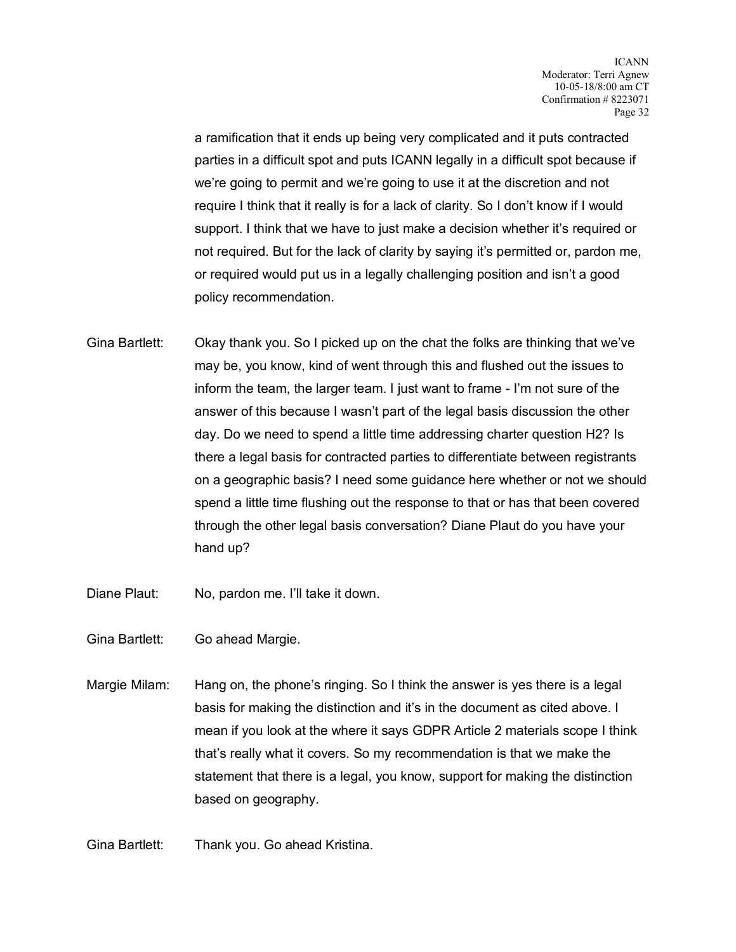a ramification that it ends up being very complicated and it puts contracted parties in a difficult spot and puts ICANN legally in a difficult spot because if we're going to permit and we're going to use it at the discretion and not require I think that it really is for a lack of clarity. So I don't know if I would support. I think that we have to just make a decision whether it's required or not required. But for the lack of clarity by saying it's permitted or, pardon me, or required would put us in a legally challenging position and isn't a good policy recommendation.

- Gina Bartlett: Okay thank you. So I picked up on the chat the folks are thinking that we've may be, you know, kind of went through this and flushed out the issues to inform the team, the larger team. I just want to frame - I'm not sure of the answer of this because I wasn't part of the legal basis discussion the other day. Do we need to spend a little time addressing charter question H2? Is there a legal basis for contracted parties to differentiate between registrants on a geographic basis? I need some guidance here whether or not we should spend a little time flushing out the response to that or has that been covered through the other legal basis conversation? Diane Plaut do you have your hand up?
- Diane Plaut: No, pardon me. I'll take it down.
- Gina Bartlett: Go ahead Margie.
- Margie Milam: Hang on, the phone's ringing. So I think the answer is yes there is a legal basis for making the distinction and it's in the document as cited above. I mean if you look at the where it says GDPR Article 2 materials scope I think that's really what it covers. So my recommendation is that we make the statement that there is a legal, you know, support for making the distinction based on geography.

Gina Bartlett: Thank you. Go ahead Kristina.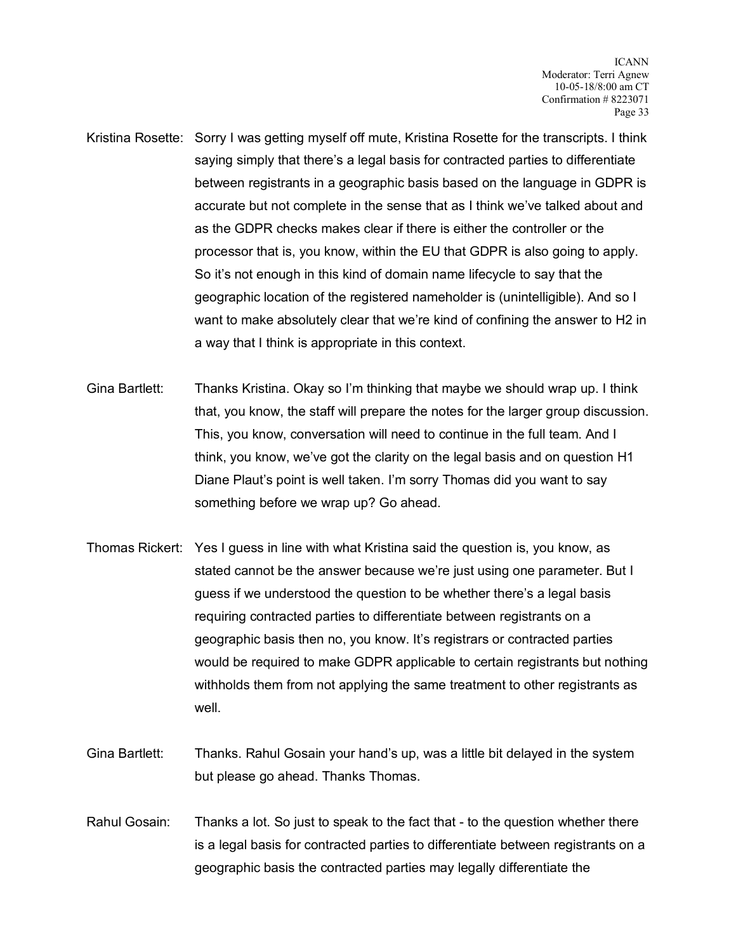- Kristina Rosette: Sorry I was getting myself off mute, Kristina Rosette for the transcripts. I think saying simply that there's a legal basis for contracted parties to differentiate between registrants in a geographic basis based on the language in GDPR is accurate but not complete in the sense that as I think we've talked about and as the GDPR checks makes clear if there is either the controller or the processor that is, you know, within the EU that GDPR is also going to apply. So it's not enough in this kind of domain name lifecycle to say that the geographic location of the registered nameholder is (unintelligible). And so I want to make absolutely clear that we're kind of confining the answer to H2 in a way that I think is appropriate in this context.
- Gina Bartlett: Thanks Kristina. Okay so I'm thinking that maybe we should wrap up. I think that, you know, the staff will prepare the notes for the larger group discussion. This, you know, conversation will need to continue in the full team. And I think, you know, we've got the clarity on the legal basis and on question H1 Diane Plaut's point is well taken. I'm sorry Thomas did you want to say something before we wrap up? Go ahead.
- Thomas Rickert: Yes I guess in line with what Kristina said the question is, you know, as stated cannot be the answer because we're just using one parameter. But I guess if we understood the question to be whether there's a legal basis requiring contracted parties to differentiate between registrants on a geographic basis then no, you know. It's registrars or contracted parties would be required to make GDPR applicable to certain registrants but nothing withholds them from not applying the same treatment to other registrants as well.
- Gina Bartlett: Thanks. Rahul Gosain your hand's up, was a little bit delayed in the system but please go ahead. Thanks Thomas.
- Rahul Gosain: Thanks a lot. So just to speak to the fact that to the question whether there is a legal basis for contracted parties to differentiate between registrants on a geographic basis the contracted parties may legally differentiate the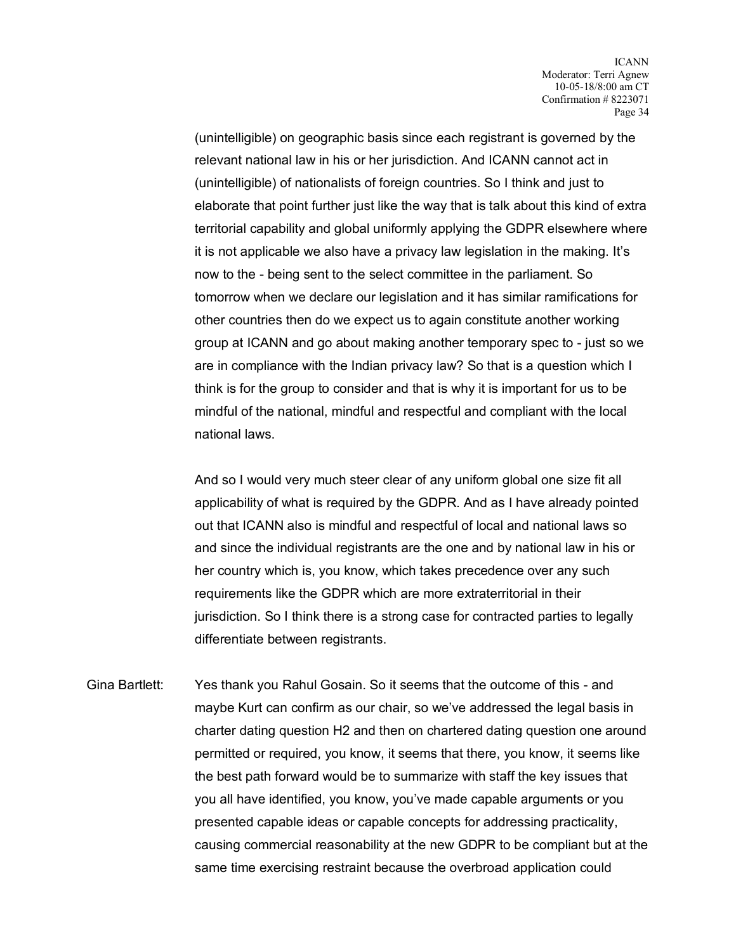(unintelligible) on geographic basis since each registrant is governed by the relevant national law in his or her jurisdiction. And ICANN cannot act in (unintelligible) of nationalists of foreign countries. So I think and just to elaborate that point further just like the way that is talk about this kind of extra territorial capability and global uniformly applying the GDPR elsewhere where it is not applicable we also have a privacy law legislation in the making. It's now to the - being sent to the select committee in the parliament. So tomorrow when we declare our legislation and it has similar ramifications for other countries then do we expect us to again constitute another working group at ICANN and go about making another temporary spec to - just so we are in compliance with the Indian privacy law? So that is a question which I think is for the group to consider and that is why it is important for us to be mindful of the national, mindful and respectful and compliant with the local national laws.

And so I would very much steer clear of any uniform global one size fit all applicability of what is required by the GDPR. And as I have already pointed out that ICANN also is mindful and respectful of local and national laws so and since the individual registrants are the one and by national law in his or her country which is, you know, which takes precedence over any such requirements like the GDPR which are more extraterritorial in their jurisdiction. So I think there is a strong case for contracted parties to legally differentiate between registrants.

Gina Bartlett: Yes thank you Rahul Gosain. So it seems that the outcome of this - and maybe Kurt can confirm as our chair, so we've addressed the legal basis in charter dating question H2 and then on chartered dating question one around permitted or required, you know, it seems that there, you know, it seems like the best path forward would be to summarize with staff the key issues that you all have identified, you know, you've made capable arguments or you presented capable ideas or capable concepts for addressing practicality, causing commercial reasonability at the new GDPR to be compliant but at the same time exercising restraint because the overbroad application could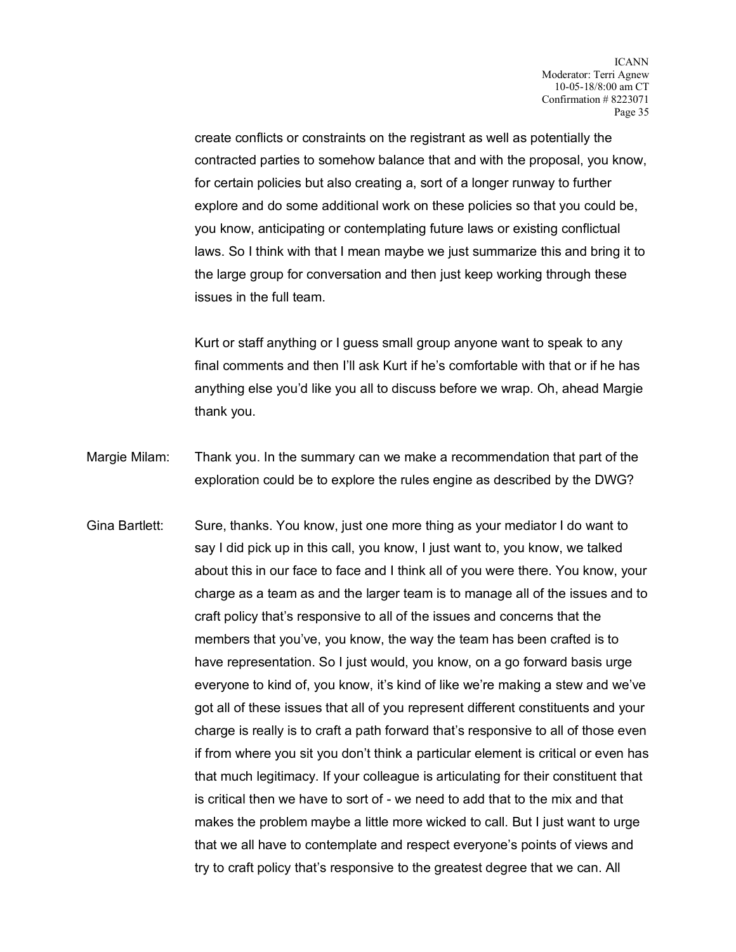create conflicts or constraints on the registrant as well as potentially the contracted parties to somehow balance that and with the proposal, you know, for certain policies but also creating a, sort of a longer runway to further explore and do some additional work on these policies so that you could be, you know, anticipating or contemplating future laws or existing conflictual laws. So I think with that I mean maybe we just summarize this and bring it to the large group for conversation and then just keep working through these issues in the full team.

Kurt or staff anything or I guess small group anyone want to speak to any final comments and then I'll ask Kurt if he's comfortable with that or if he has anything else you'd like you all to discuss before we wrap. Oh, ahead Margie thank you.

- Margie Milam: Thank you. In the summary can we make a recommendation that part of the exploration could be to explore the rules engine as described by the DWG?
- Gina Bartlett: Sure, thanks. You know, just one more thing as your mediator I do want to say I did pick up in this call, you know, I just want to, you know, we talked about this in our face to face and I think all of you were there. You know, your charge as a team as and the larger team is to manage all of the issues and to craft policy that's responsive to all of the issues and concerns that the members that you've, you know, the way the team has been crafted is to have representation. So I just would, you know, on a go forward basis urge everyone to kind of, you know, it's kind of like we're making a stew and we've got all of these issues that all of you represent different constituents and your charge is really is to craft a path forward that's responsive to all of those even if from where you sit you don't think a particular element is critical or even has that much legitimacy. If your colleague is articulating for their constituent that is critical then we have to sort of - we need to add that to the mix and that makes the problem maybe a little more wicked to call. But I just want to urge that we all have to contemplate and respect everyone's points of views and try to craft policy that's responsive to the greatest degree that we can. All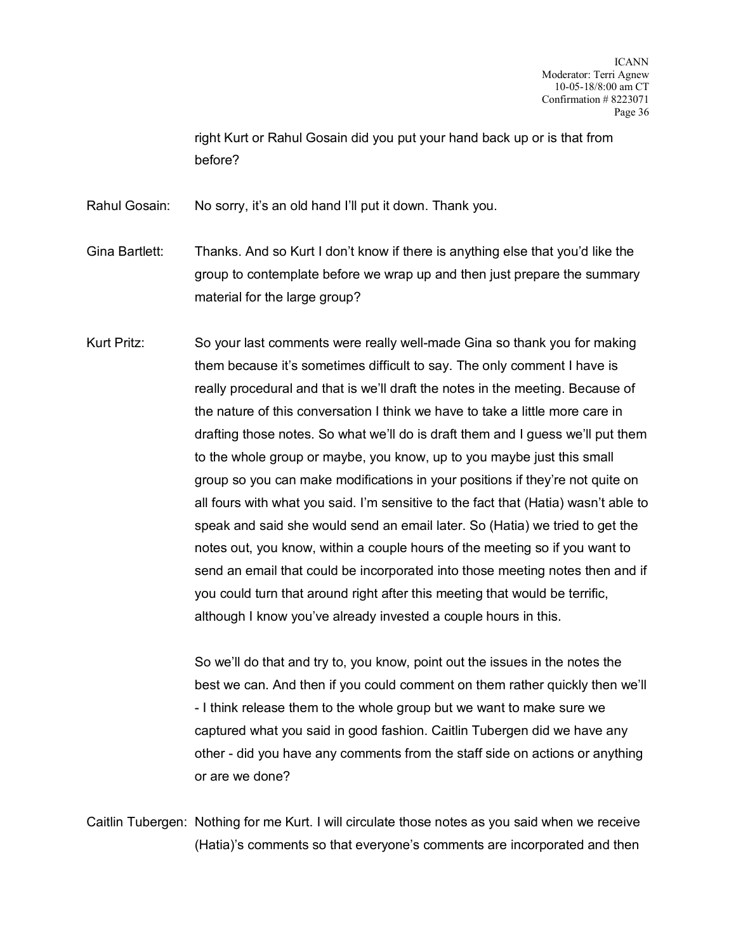right Kurt or Rahul Gosain did you put your hand back up or is that from before?

Rahul Gosain: No sorry, it's an old hand I'll put it down. Thank you.

- Gina Bartlett: Thanks. And so Kurt I don't know if there is anything else that you'd like the group to contemplate before we wrap up and then just prepare the summary material for the large group?
- Kurt Pritz: So your last comments were really well-made Gina so thank you for making them because it's sometimes difficult to say. The only comment I have is really procedural and that is we'll draft the notes in the meeting. Because of the nature of this conversation I think we have to take a little more care in drafting those notes. So what we'll do is draft them and I guess we'll put them to the whole group or maybe, you know, up to you maybe just this small group so you can make modifications in your positions if they're not quite on all fours with what you said. I'm sensitive to the fact that (Hatia) wasn't able to speak and said she would send an email later. So (Hatia) we tried to get the notes out, you know, within a couple hours of the meeting so if you want to send an email that could be incorporated into those meeting notes then and if you could turn that around right after this meeting that would be terrific, although I know you've already invested a couple hours in this.

So we'll do that and try to, you know, point out the issues in the notes the best we can. And then if you could comment on them rather quickly then we'll - I think release them to the whole group but we want to make sure we captured what you said in good fashion. Caitlin Tubergen did we have any other - did you have any comments from the staff side on actions or anything or are we done?

Caitlin Tubergen: Nothing for me Kurt. I will circulate those notes as you said when we receive (Hatia)'s comments so that everyone's comments are incorporated and then